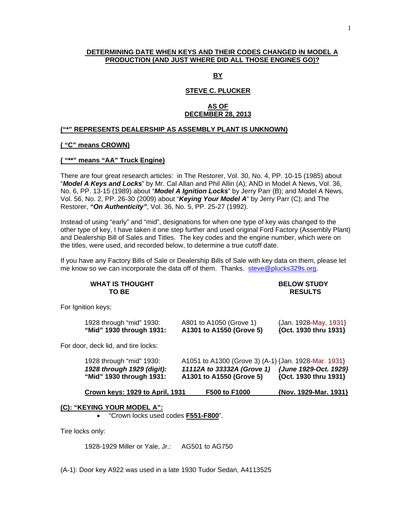### **DETERMINING DATE WHEN KEYS AND THEIR CODES CHANGED IN MODEL A PRODUCTION (AND JUST WHERE DID ALL THOSE ENGINES GO)?**

**BY**

# **STEVE C. PLUCKER**

### **AS OF DECEMBER 28, 2013**

#### **("\*" REPRESENTS DEALERSHIP AS ASSEMBLY PLANT IS UNKNOWN)**

### **( "C" means CROWN)**

#### **( "\*\*" means "AA" Truck Engine)**

There are four great research articles: in The Restorer, Vol. 30, No. 4, PP. 10-15 (1985) about "*Model A Keys and Locks*" by Mr. Cal Allan and Phil Allin (A); AND in Model A News, Vol. 36, No. 6, PP. 13-15 (1989) about "*Model A Ignition Locks*" by Jerry Parr (B); and Model A News, Vol. 56, No. 2, PP. 26-30 (2009) about "*Keying Your Model A*" by Jerry Parr (C); and The Restorer, *"On Authenticity"*, Vol. 36, No. 5, PP. 25-27 (1992).

Instead of using "early" and "mid", designations for when one type of key was changed to the other type of key, I have taken it one step further and used original Ford Factory (Assembly Plant) and Dealership Bill of Sales and Titles. The key codes and the engine number, which were on the titles, were used, and recorded below, to determine a true cutoff date.

If you have any Factory Bills of Sale or Dealership Bills of Sale with key data on them, please let me know so we can incorporate the data off of them. Thanks. steve@plucks329s.org.

| <b>WHAT IS THOUGHT</b><br>TO BE                                                    |                                                                                                                | <b>BELOW STUDY</b><br><b>RESULTS</b>           |
|------------------------------------------------------------------------------------|----------------------------------------------------------------------------------------------------------------|------------------------------------------------|
| For Ignition keys:                                                                 |                                                                                                                |                                                |
| 1928 through "mid" 1930:<br>"Mid" 1930 through 1931:                               | A801 to A1050 (Grove 1)<br>A1301 to A1550 (Grove 5)                                                            | {Jan. 1928-May, 1931}<br>{Oct. 1930 thru 1931} |
| For door, deck lid, and tire locks:                                                |                                                                                                                |                                                |
| 1928 through "mid" 1930:<br>1928 through 1929 (digit):<br>"Mid" 1930 through 1931: | A1051 to A1300 (Grove 3) (A-1) {Jan. 1928-Mar. 1931}<br>11112A to 33332A (Grove 1)<br>A1301 to A1550 (Grove 5) | {June 1929-Oct. 1929}<br>{Oct. 1930 thru 1931} |

**Crown keys: 1929 to April, 1931 F500 to F1000 {Nov. 1929-Mar. 1931}**

#### **(C): "KEYING YOUR MODEL A":**

• "Crown locks used codes **F551-F800**".

Tire locks only:

1928-1929 Miller or Yale, Jr.: AG501 to AG750

(A-1): Door key A922 was used in a late 1930 Tudor Sedan, A4113525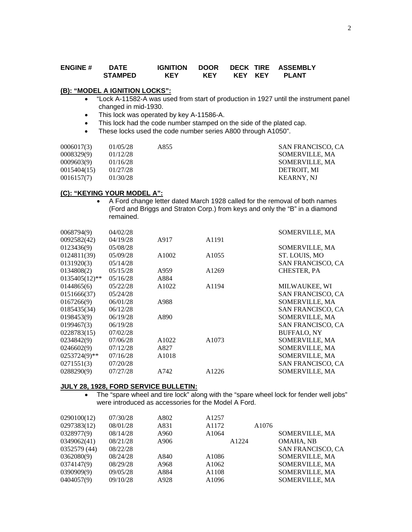### **ENGINE # DATE IGNITION DOOR DECK TIRE ASSEMBLY KEY KEY**

#### **(B): "MODEL A IGNITION LOCKS":**

- "Lock A-11582-A was used from start of production in 1927 until the instrument panel changed in mid-1930.
- This lock was operated by key A-11586-A.
- This lock had the code number stamped on the side of the plated cap.
- These locks used the code number series A800 through A1050".

| 0006017(3)  | 01/05/28 | A855 | <b>SAN FRANCISCO, CA</b> |
|-------------|----------|------|--------------------------|
| 0008329(9)  | 01/12/28 |      | SOMERVILLE, MA           |
| 0009603(9)  | 01/16/28 |      | SOMERVILLE, MA           |
| 0015404(15) | 01/27/28 |      | DETROIT. MI              |
| 0016157(7)  | 01/30/28 |      | <b>KEARNY. NJ</b>        |

#### **(C): "KEYING YOUR MODEL A":**

• A Ford change letter dated March 1928 called for the removal of both names (Ford and Briggs and Straton Corp.) from keys and only the "B" in a diamond remained.

| 04/02/28<br>0068794(9)                              | SOMERVILLE, MA           |
|-----------------------------------------------------|--------------------------|
| A1191<br>0092582(42)<br>04/19/28<br>A917            |                          |
| 0123436(9)<br>05/08/28                              | SOMERVILLE, MA           |
| 0124811(39)<br>05/09/28<br>A1002<br>A1055           | ST. LOUIS, MO            |
| 0131920(3)<br>05/14/28                              | SAN FRANCISCO, CA        |
| 0134808(2)<br>05/15/28<br>A1269<br>A959             | CHESTER, PA              |
| $0135405(12)$ **<br>05/16/28<br>A884                |                          |
| 0144865(6)<br>05/22/28<br>A1022<br>A1194            | MILWAUKEE, WI            |
| 0151666(37)<br>05/24/28                             | <b>SAN FRANCISCO, CA</b> |
| 0167266(9)<br>06/01/28<br>A988                      | <b>SOMERVILLE, MA</b>    |
| 0185435(34)<br>06/12/28                             | SAN FRANCISCO, CA        |
| 0198453(9)<br>06/19/28<br>A890                      | SOMERVILLE, MA           |
| 0199467(3)<br>06/19/28                              | SAN FRANCISCO, CA        |
| 0228783(15)<br>07/02/28                             | <b>BUFFALO, NY</b>       |
| 0234842(9)<br>A1022<br>A1073<br>07/06/28            | <b>SOMERVILLE, MA</b>    |
| 0246602(9)<br>07/12/28<br>A827                      | <b>SOMERVILLE, MA</b>    |
| $0253724(9)$ **<br>A <sub>1018</sub><br>07/16/28    | SOMERVILLE, MA           |
| 0271551(3)<br>07/20/28                              | SAN FRANCISCO, CA        |
| 0288290(9)<br>07/27/28<br>A742<br>A <sub>1226</sub> | SOMERVILLE, MA           |

#### **JULY 28, 1928, FORD SERVICE BULLETIN:**

• The "spare wheel and tire lock" along with the "spare wheel lock for fender well jobs" were introduced as accessories for the Model A Ford.

| 0290100(12)  | 07/30/28 | A802 | A1257             |       |                       |
|--------------|----------|------|-------------------|-------|-----------------------|
| 0297383(12)  | 08/01/28 | A831 | A1172             | A1076 |                       |
| 0328977(9)   | 08/14/28 | A960 | A1064             |       | SOMERVILLE, MA        |
| 0349062(41)  | 08/21/28 | A906 | A1224             |       | OMAHA, NB             |
| 0352579 (44) | 08/22/28 |      |                   |       | SAN FRANCISCO, CA     |
| 0362080(9)   | 08/24/28 | A840 | A <sub>1086</sub> |       | SOMERVILLE, MA        |
| 0374147(9)   | 08/29/28 | A968 | A1062             |       | SOMERVILLE, MA        |
| 0390909(9)   | 09/05/28 | A884 | A1108             |       | SOMERVILLE, MA        |
| 0404057(9)   | 09/10/28 | A928 | A1096             |       | <b>SOMERVILLE, MA</b> |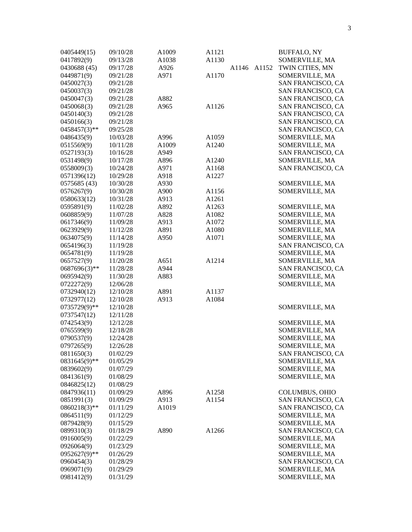| 0417892(9)<br>A1130<br>09/13/28<br>A1038<br>SOMERVILLE, MA<br>0430688 (45)<br>09/17/28<br>A926<br>A1146<br>A1152<br>TWIN CITIES, MN<br>A1170<br>0449871(9)<br>SOMERVILLE, MA<br>09/21/28<br>A971<br>0450027(3)<br>SAN FRANCISCO, CA<br>09/21/28<br>0450037(3)<br>SAN FRANCISCO, CA<br>09/21/28<br>0450047(3)<br>09/21/28<br>A882<br>SAN FRANCISCO, CA<br>A1126<br>0450068(3)<br>09/21/28<br>A965<br>SAN FRANCISCO, CA<br>SAN FRANCISCO, CA<br>0450140(3)<br>09/21/28<br>0450166(3)<br>09/21/28<br>SAN FRANCISCO, CA<br>$0458457(3)$ **<br>09/25/28<br>SAN FRANCISCO, CA<br>0486435(9)<br>10/03/28<br>A996<br>A1059<br>SOMERVILLE, MA<br>0515569(9)<br>A1009<br>A1240<br>SOMERVILLE, MA<br>10/11/28<br>0527193(3)<br>A949<br>SAN FRANCISCO, CA<br>10/16/28<br>0531498(9)<br>10/17/28<br>A896<br>A1240<br>SOMERVILLE, MA<br>0558009(3)<br>A971<br>A1168<br>SAN FRANCISCO, CA<br>10/24/28<br>0571396(12)<br>10/29/28<br>A918<br>A1227<br>0575685 (43)<br>SOMERVILLE, MA<br>10/30/28<br>A930<br>0576267(9)<br>SOMERVILLE, MA<br>10/30/28<br>A900<br>A1156<br>0580633(12)<br>10/31/28<br>A913<br>A1261<br>0595891(9)<br>A892<br>A1263<br>SOMERVILLE, MA<br>11/02/28<br>0608859(9)<br>A1082<br>SOMERVILLE, MA<br>11/07/28<br>A828<br>0617346(9)<br>A913<br>A1072<br>SOMERVILLE, MA<br>11/09/28<br>0623929(9)<br>A891<br>A1080<br>SOMERVILLE, MA<br>11/12/28<br>0634075(9)<br>A950<br>A1071<br>SOMERVILLE, MA<br>11/14/28<br>0654196(3)<br>SAN FRANCISCO, CA<br>11/19/28<br>0654781(9)<br>11/19/28<br>SOMERVILLE, MA<br>0657527(9)<br>A1214<br>SOMERVILLE, MA<br>11/20/28<br>A651<br>$0687696(3)$ **<br>11/28/28<br>A944<br>SAN FRANCISCO, CA<br>0695942(9)<br>SOMERVILLE, MA<br>11/30/28<br>A883<br>0722272(9)<br>SOMERVILLE, MA<br>12/06/28<br>0732940(12)<br>12/10/28<br>A891<br>A1137<br>0732977(12)<br>12/10/28<br>A913<br>A1084<br>0735729(9)**<br>SOMERVILLE, MA<br>12/10/28<br>0737547(12)<br>12/11/28<br>0742543(9)<br>12/12/28<br>SOMERVILLE, MA<br>0765599(9)<br>SOMERVILLE, MA<br>12/18/28<br>0790537(9)<br>12/24/28<br>SOMERVILLE, MA<br>0797265(9)<br>12/26/28<br>SOMERVILLE, MA<br>0811650(3)<br>01/02/29<br>SAN FRANCISCO, CA<br>$0831645(9)$ **<br>SOMERVILLE, MA<br>01/05/29<br>0839602(9)<br>SOMERVILLE, MA<br>01/07/29<br>0841361(9)<br>SOMERVILLE, MA<br>01/08/29<br>01/08/29<br>01/09/29<br>A896<br><b>COLUMBUS, OHIO</b><br>A <sub>1258</sub><br>A913<br>SAN FRANCISCO, CA<br>01/09/29<br>A1154<br>A1019<br>SAN FRANCISCO, CA<br>01/11/29<br>SOMERVILLE, MA<br>01/12/29<br>01/15/29<br>SOMERVILLE, MA<br>A890<br>A1266<br>SAN FRANCISCO, CA<br>01/18/29<br>SOMERVILLE, MA<br>01/22/29<br>01/23/29<br>SOMERVILLE, MA<br>SOMERVILLE, MA<br>01/26/29<br>SAN FRANCISCO, CA<br>01/28/29<br>SOMERVILLE, MA<br>01/29/29<br>01/31/29<br>SOMERVILLE, MA | 0405449(15)     | 09/10/28 | A1009 | A1121 |  | <b>BUFFALO, NY</b> |
|----------------------------------------------------------------------------------------------------------------------------------------------------------------------------------------------------------------------------------------------------------------------------------------------------------------------------------------------------------------------------------------------------------------------------------------------------------------------------------------------------------------------------------------------------------------------------------------------------------------------------------------------------------------------------------------------------------------------------------------------------------------------------------------------------------------------------------------------------------------------------------------------------------------------------------------------------------------------------------------------------------------------------------------------------------------------------------------------------------------------------------------------------------------------------------------------------------------------------------------------------------------------------------------------------------------------------------------------------------------------------------------------------------------------------------------------------------------------------------------------------------------------------------------------------------------------------------------------------------------------------------------------------------------------------------------------------------------------------------------------------------------------------------------------------------------------------------------------------------------------------------------------------------------------------------------------------------------------------------------------------------------------------------------------------------------------------------------------------------------------------------------------------------------------------------------------------------------------------------------------------------------------------------------------------------------------------------------------------------------------------------------------------------------------------------------------------------------------------------------------------------------------------------------------------------------------------------------------------------------------------------------------------------------------------------------------------------------------------------------------------------------|-----------------|----------|-------|-------|--|--------------------|
|                                                                                                                                                                                                                                                                                                                                                                                                                                                                                                                                                                                                                                                                                                                                                                                                                                                                                                                                                                                                                                                                                                                                                                                                                                                                                                                                                                                                                                                                                                                                                                                                                                                                                                                                                                                                                                                                                                                                                                                                                                                                                                                                                                                                                                                                                                                                                                                                                                                                                                                                                                                                                                                                                                                                                                |                 |          |       |       |  |                    |
|                                                                                                                                                                                                                                                                                                                                                                                                                                                                                                                                                                                                                                                                                                                                                                                                                                                                                                                                                                                                                                                                                                                                                                                                                                                                                                                                                                                                                                                                                                                                                                                                                                                                                                                                                                                                                                                                                                                                                                                                                                                                                                                                                                                                                                                                                                                                                                                                                                                                                                                                                                                                                                                                                                                                                                |                 |          |       |       |  |                    |
|                                                                                                                                                                                                                                                                                                                                                                                                                                                                                                                                                                                                                                                                                                                                                                                                                                                                                                                                                                                                                                                                                                                                                                                                                                                                                                                                                                                                                                                                                                                                                                                                                                                                                                                                                                                                                                                                                                                                                                                                                                                                                                                                                                                                                                                                                                                                                                                                                                                                                                                                                                                                                                                                                                                                                                |                 |          |       |       |  |                    |
|                                                                                                                                                                                                                                                                                                                                                                                                                                                                                                                                                                                                                                                                                                                                                                                                                                                                                                                                                                                                                                                                                                                                                                                                                                                                                                                                                                                                                                                                                                                                                                                                                                                                                                                                                                                                                                                                                                                                                                                                                                                                                                                                                                                                                                                                                                                                                                                                                                                                                                                                                                                                                                                                                                                                                                |                 |          |       |       |  |                    |
|                                                                                                                                                                                                                                                                                                                                                                                                                                                                                                                                                                                                                                                                                                                                                                                                                                                                                                                                                                                                                                                                                                                                                                                                                                                                                                                                                                                                                                                                                                                                                                                                                                                                                                                                                                                                                                                                                                                                                                                                                                                                                                                                                                                                                                                                                                                                                                                                                                                                                                                                                                                                                                                                                                                                                                |                 |          |       |       |  |                    |
|                                                                                                                                                                                                                                                                                                                                                                                                                                                                                                                                                                                                                                                                                                                                                                                                                                                                                                                                                                                                                                                                                                                                                                                                                                                                                                                                                                                                                                                                                                                                                                                                                                                                                                                                                                                                                                                                                                                                                                                                                                                                                                                                                                                                                                                                                                                                                                                                                                                                                                                                                                                                                                                                                                                                                                |                 |          |       |       |  |                    |
|                                                                                                                                                                                                                                                                                                                                                                                                                                                                                                                                                                                                                                                                                                                                                                                                                                                                                                                                                                                                                                                                                                                                                                                                                                                                                                                                                                                                                                                                                                                                                                                                                                                                                                                                                                                                                                                                                                                                                                                                                                                                                                                                                                                                                                                                                                                                                                                                                                                                                                                                                                                                                                                                                                                                                                |                 |          |       |       |  |                    |
|                                                                                                                                                                                                                                                                                                                                                                                                                                                                                                                                                                                                                                                                                                                                                                                                                                                                                                                                                                                                                                                                                                                                                                                                                                                                                                                                                                                                                                                                                                                                                                                                                                                                                                                                                                                                                                                                                                                                                                                                                                                                                                                                                                                                                                                                                                                                                                                                                                                                                                                                                                                                                                                                                                                                                                |                 |          |       |       |  |                    |
|                                                                                                                                                                                                                                                                                                                                                                                                                                                                                                                                                                                                                                                                                                                                                                                                                                                                                                                                                                                                                                                                                                                                                                                                                                                                                                                                                                                                                                                                                                                                                                                                                                                                                                                                                                                                                                                                                                                                                                                                                                                                                                                                                                                                                                                                                                                                                                                                                                                                                                                                                                                                                                                                                                                                                                |                 |          |       |       |  |                    |
|                                                                                                                                                                                                                                                                                                                                                                                                                                                                                                                                                                                                                                                                                                                                                                                                                                                                                                                                                                                                                                                                                                                                                                                                                                                                                                                                                                                                                                                                                                                                                                                                                                                                                                                                                                                                                                                                                                                                                                                                                                                                                                                                                                                                                                                                                                                                                                                                                                                                                                                                                                                                                                                                                                                                                                |                 |          |       |       |  |                    |
|                                                                                                                                                                                                                                                                                                                                                                                                                                                                                                                                                                                                                                                                                                                                                                                                                                                                                                                                                                                                                                                                                                                                                                                                                                                                                                                                                                                                                                                                                                                                                                                                                                                                                                                                                                                                                                                                                                                                                                                                                                                                                                                                                                                                                                                                                                                                                                                                                                                                                                                                                                                                                                                                                                                                                                |                 |          |       |       |  |                    |
|                                                                                                                                                                                                                                                                                                                                                                                                                                                                                                                                                                                                                                                                                                                                                                                                                                                                                                                                                                                                                                                                                                                                                                                                                                                                                                                                                                                                                                                                                                                                                                                                                                                                                                                                                                                                                                                                                                                                                                                                                                                                                                                                                                                                                                                                                                                                                                                                                                                                                                                                                                                                                                                                                                                                                                |                 |          |       |       |  |                    |
|                                                                                                                                                                                                                                                                                                                                                                                                                                                                                                                                                                                                                                                                                                                                                                                                                                                                                                                                                                                                                                                                                                                                                                                                                                                                                                                                                                                                                                                                                                                                                                                                                                                                                                                                                                                                                                                                                                                                                                                                                                                                                                                                                                                                                                                                                                                                                                                                                                                                                                                                                                                                                                                                                                                                                                |                 |          |       |       |  |                    |
|                                                                                                                                                                                                                                                                                                                                                                                                                                                                                                                                                                                                                                                                                                                                                                                                                                                                                                                                                                                                                                                                                                                                                                                                                                                                                                                                                                                                                                                                                                                                                                                                                                                                                                                                                                                                                                                                                                                                                                                                                                                                                                                                                                                                                                                                                                                                                                                                                                                                                                                                                                                                                                                                                                                                                                |                 |          |       |       |  |                    |
|                                                                                                                                                                                                                                                                                                                                                                                                                                                                                                                                                                                                                                                                                                                                                                                                                                                                                                                                                                                                                                                                                                                                                                                                                                                                                                                                                                                                                                                                                                                                                                                                                                                                                                                                                                                                                                                                                                                                                                                                                                                                                                                                                                                                                                                                                                                                                                                                                                                                                                                                                                                                                                                                                                                                                                |                 |          |       |       |  |                    |
|                                                                                                                                                                                                                                                                                                                                                                                                                                                                                                                                                                                                                                                                                                                                                                                                                                                                                                                                                                                                                                                                                                                                                                                                                                                                                                                                                                                                                                                                                                                                                                                                                                                                                                                                                                                                                                                                                                                                                                                                                                                                                                                                                                                                                                                                                                                                                                                                                                                                                                                                                                                                                                                                                                                                                                |                 |          |       |       |  |                    |
|                                                                                                                                                                                                                                                                                                                                                                                                                                                                                                                                                                                                                                                                                                                                                                                                                                                                                                                                                                                                                                                                                                                                                                                                                                                                                                                                                                                                                                                                                                                                                                                                                                                                                                                                                                                                                                                                                                                                                                                                                                                                                                                                                                                                                                                                                                                                                                                                                                                                                                                                                                                                                                                                                                                                                                |                 |          |       |       |  |                    |
|                                                                                                                                                                                                                                                                                                                                                                                                                                                                                                                                                                                                                                                                                                                                                                                                                                                                                                                                                                                                                                                                                                                                                                                                                                                                                                                                                                                                                                                                                                                                                                                                                                                                                                                                                                                                                                                                                                                                                                                                                                                                                                                                                                                                                                                                                                                                                                                                                                                                                                                                                                                                                                                                                                                                                                |                 |          |       |       |  |                    |
|                                                                                                                                                                                                                                                                                                                                                                                                                                                                                                                                                                                                                                                                                                                                                                                                                                                                                                                                                                                                                                                                                                                                                                                                                                                                                                                                                                                                                                                                                                                                                                                                                                                                                                                                                                                                                                                                                                                                                                                                                                                                                                                                                                                                                                                                                                                                                                                                                                                                                                                                                                                                                                                                                                                                                                |                 |          |       |       |  |                    |
|                                                                                                                                                                                                                                                                                                                                                                                                                                                                                                                                                                                                                                                                                                                                                                                                                                                                                                                                                                                                                                                                                                                                                                                                                                                                                                                                                                                                                                                                                                                                                                                                                                                                                                                                                                                                                                                                                                                                                                                                                                                                                                                                                                                                                                                                                                                                                                                                                                                                                                                                                                                                                                                                                                                                                                |                 |          |       |       |  |                    |
|                                                                                                                                                                                                                                                                                                                                                                                                                                                                                                                                                                                                                                                                                                                                                                                                                                                                                                                                                                                                                                                                                                                                                                                                                                                                                                                                                                                                                                                                                                                                                                                                                                                                                                                                                                                                                                                                                                                                                                                                                                                                                                                                                                                                                                                                                                                                                                                                                                                                                                                                                                                                                                                                                                                                                                |                 |          |       |       |  |                    |
|                                                                                                                                                                                                                                                                                                                                                                                                                                                                                                                                                                                                                                                                                                                                                                                                                                                                                                                                                                                                                                                                                                                                                                                                                                                                                                                                                                                                                                                                                                                                                                                                                                                                                                                                                                                                                                                                                                                                                                                                                                                                                                                                                                                                                                                                                                                                                                                                                                                                                                                                                                                                                                                                                                                                                                |                 |          |       |       |  |                    |
|                                                                                                                                                                                                                                                                                                                                                                                                                                                                                                                                                                                                                                                                                                                                                                                                                                                                                                                                                                                                                                                                                                                                                                                                                                                                                                                                                                                                                                                                                                                                                                                                                                                                                                                                                                                                                                                                                                                                                                                                                                                                                                                                                                                                                                                                                                                                                                                                                                                                                                                                                                                                                                                                                                                                                                |                 |          |       |       |  |                    |
|                                                                                                                                                                                                                                                                                                                                                                                                                                                                                                                                                                                                                                                                                                                                                                                                                                                                                                                                                                                                                                                                                                                                                                                                                                                                                                                                                                                                                                                                                                                                                                                                                                                                                                                                                                                                                                                                                                                                                                                                                                                                                                                                                                                                                                                                                                                                                                                                                                                                                                                                                                                                                                                                                                                                                                |                 |          |       |       |  |                    |
|                                                                                                                                                                                                                                                                                                                                                                                                                                                                                                                                                                                                                                                                                                                                                                                                                                                                                                                                                                                                                                                                                                                                                                                                                                                                                                                                                                                                                                                                                                                                                                                                                                                                                                                                                                                                                                                                                                                                                                                                                                                                                                                                                                                                                                                                                                                                                                                                                                                                                                                                                                                                                                                                                                                                                                |                 |          |       |       |  |                    |
|                                                                                                                                                                                                                                                                                                                                                                                                                                                                                                                                                                                                                                                                                                                                                                                                                                                                                                                                                                                                                                                                                                                                                                                                                                                                                                                                                                                                                                                                                                                                                                                                                                                                                                                                                                                                                                                                                                                                                                                                                                                                                                                                                                                                                                                                                                                                                                                                                                                                                                                                                                                                                                                                                                                                                                |                 |          |       |       |  |                    |
|                                                                                                                                                                                                                                                                                                                                                                                                                                                                                                                                                                                                                                                                                                                                                                                                                                                                                                                                                                                                                                                                                                                                                                                                                                                                                                                                                                                                                                                                                                                                                                                                                                                                                                                                                                                                                                                                                                                                                                                                                                                                                                                                                                                                                                                                                                                                                                                                                                                                                                                                                                                                                                                                                                                                                                |                 |          |       |       |  |                    |
|                                                                                                                                                                                                                                                                                                                                                                                                                                                                                                                                                                                                                                                                                                                                                                                                                                                                                                                                                                                                                                                                                                                                                                                                                                                                                                                                                                                                                                                                                                                                                                                                                                                                                                                                                                                                                                                                                                                                                                                                                                                                                                                                                                                                                                                                                                                                                                                                                                                                                                                                                                                                                                                                                                                                                                |                 |          |       |       |  |                    |
|                                                                                                                                                                                                                                                                                                                                                                                                                                                                                                                                                                                                                                                                                                                                                                                                                                                                                                                                                                                                                                                                                                                                                                                                                                                                                                                                                                                                                                                                                                                                                                                                                                                                                                                                                                                                                                                                                                                                                                                                                                                                                                                                                                                                                                                                                                                                                                                                                                                                                                                                                                                                                                                                                                                                                                |                 |          |       |       |  |                    |
|                                                                                                                                                                                                                                                                                                                                                                                                                                                                                                                                                                                                                                                                                                                                                                                                                                                                                                                                                                                                                                                                                                                                                                                                                                                                                                                                                                                                                                                                                                                                                                                                                                                                                                                                                                                                                                                                                                                                                                                                                                                                                                                                                                                                                                                                                                                                                                                                                                                                                                                                                                                                                                                                                                                                                                |                 |          |       |       |  |                    |
|                                                                                                                                                                                                                                                                                                                                                                                                                                                                                                                                                                                                                                                                                                                                                                                                                                                                                                                                                                                                                                                                                                                                                                                                                                                                                                                                                                                                                                                                                                                                                                                                                                                                                                                                                                                                                                                                                                                                                                                                                                                                                                                                                                                                                                                                                                                                                                                                                                                                                                                                                                                                                                                                                                                                                                |                 |          |       |       |  |                    |
|                                                                                                                                                                                                                                                                                                                                                                                                                                                                                                                                                                                                                                                                                                                                                                                                                                                                                                                                                                                                                                                                                                                                                                                                                                                                                                                                                                                                                                                                                                                                                                                                                                                                                                                                                                                                                                                                                                                                                                                                                                                                                                                                                                                                                                                                                                                                                                                                                                                                                                                                                                                                                                                                                                                                                                |                 |          |       |       |  |                    |
|                                                                                                                                                                                                                                                                                                                                                                                                                                                                                                                                                                                                                                                                                                                                                                                                                                                                                                                                                                                                                                                                                                                                                                                                                                                                                                                                                                                                                                                                                                                                                                                                                                                                                                                                                                                                                                                                                                                                                                                                                                                                                                                                                                                                                                                                                                                                                                                                                                                                                                                                                                                                                                                                                                                                                                |                 |          |       |       |  |                    |
|                                                                                                                                                                                                                                                                                                                                                                                                                                                                                                                                                                                                                                                                                                                                                                                                                                                                                                                                                                                                                                                                                                                                                                                                                                                                                                                                                                                                                                                                                                                                                                                                                                                                                                                                                                                                                                                                                                                                                                                                                                                                                                                                                                                                                                                                                                                                                                                                                                                                                                                                                                                                                                                                                                                                                                |                 |          |       |       |  |                    |
|                                                                                                                                                                                                                                                                                                                                                                                                                                                                                                                                                                                                                                                                                                                                                                                                                                                                                                                                                                                                                                                                                                                                                                                                                                                                                                                                                                                                                                                                                                                                                                                                                                                                                                                                                                                                                                                                                                                                                                                                                                                                                                                                                                                                                                                                                                                                                                                                                                                                                                                                                                                                                                                                                                                                                                |                 |          |       |       |  |                    |
|                                                                                                                                                                                                                                                                                                                                                                                                                                                                                                                                                                                                                                                                                                                                                                                                                                                                                                                                                                                                                                                                                                                                                                                                                                                                                                                                                                                                                                                                                                                                                                                                                                                                                                                                                                                                                                                                                                                                                                                                                                                                                                                                                                                                                                                                                                                                                                                                                                                                                                                                                                                                                                                                                                                                                                |                 |          |       |       |  |                    |
|                                                                                                                                                                                                                                                                                                                                                                                                                                                                                                                                                                                                                                                                                                                                                                                                                                                                                                                                                                                                                                                                                                                                                                                                                                                                                                                                                                                                                                                                                                                                                                                                                                                                                                                                                                                                                                                                                                                                                                                                                                                                                                                                                                                                                                                                                                                                                                                                                                                                                                                                                                                                                                                                                                                                                                |                 |          |       |       |  |                    |
|                                                                                                                                                                                                                                                                                                                                                                                                                                                                                                                                                                                                                                                                                                                                                                                                                                                                                                                                                                                                                                                                                                                                                                                                                                                                                                                                                                                                                                                                                                                                                                                                                                                                                                                                                                                                                                                                                                                                                                                                                                                                                                                                                                                                                                                                                                                                                                                                                                                                                                                                                                                                                                                                                                                                                                |                 |          |       |       |  |                    |
|                                                                                                                                                                                                                                                                                                                                                                                                                                                                                                                                                                                                                                                                                                                                                                                                                                                                                                                                                                                                                                                                                                                                                                                                                                                                                                                                                                                                                                                                                                                                                                                                                                                                                                                                                                                                                                                                                                                                                                                                                                                                                                                                                                                                                                                                                                                                                                                                                                                                                                                                                                                                                                                                                                                                                                |                 |          |       |       |  |                    |
|                                                                                                                                                                                                                                                                                                                                                                                                                                                                                                                                                                                                                                                                                                                                                                                                                                                                                                                                                                                                                                                                                                                                                                                                                                                                                                                                                                                                                                                                                                                                                                                                                                                                                                                                                                                                                                                                                                                                                                                                                                                                                                                                                                                                                                                                                                                                                                                                                                                                                                                                                                                                                                                                                                                                                                |                 |          |       |       |  |                    |
|                                                                                                                                                                                                                                                                                                                                                                                                                                                                                                                                                                                                                                                                                                                                                                                                                                                                                                                                                                                                                                                                                                                                                                                                                                                                                                                                                                                                                                                                                                                                                                                                                                                                                                                                                                                                                                                                                                                                                                                                                                                                                                                                                                                                                                                                                                                                                                                                                                                                                                                                                                                                                                                                                                                                                                |                 |          |       |       |  |                    |
|                                                                                                                                                                                                                                                                                                                                                                                                                                                                                                                                                                                                                                                                                                                                                                                                                                                                                                                                                                                                                                                                                                                                                                                                                                                                                                                                                                                                                                                                                                                                                                                                                                                                                                                                                                                                                                                                                                                                                                                                                                                                                                                                                                                                                                                                                                                                                                                                                                                                                                                                                                                                                                                                                                                                                                |                 |          |       |       |  |                    |
|                                                                                                                                                                                                                                                                                                                                                                                                                                                                                                                                                                                                                                                                                                                                                                                                                                                                                                                                                                                                                                                                                                                                                                                                                                                                                                                                                                                                                                                                                                                                                                                                                                                                                                                                                                                                                                                                                                                                                                                                                                                                                                                                                                                                                                                                                                                                                                                                                                                                                                                                                                                                                                                                                                                                                                |                 |          |       |       |  |                    |
|                                                                                                                                                                                                                                                                                                                                                                                                                                                                                                                                                                                                                                                                                                                                                                                                                                                                                                                                                                                                                                                                                                                                                                                                                                                                                                                                                                                                                                                                                                                                                                                                                                                                                                                                                                                                                                                                                                                                                                                                                                                                                                                                                                                                                                                                                                                                                                                                                                                                                                                                                                                                                                                                                                                                                                | 0846825(12)     |          |       |       |  |                    |
|                                                                                                                                                                                                                                                                                                                                                                                                                                                                                                                                                                                                                                                                                                                                                                                                                                                                                                                                                                                                                                                                                                                                                                                                                                                                                                                                                                                                                                                                                                                                                                                                                                                                                                                                                                                                                                                                                                                                                                                                                                                                                                                                                                                                                                                                                                                                                                                                                                                                                                                                                                                                                                                                                                                                                                | 0847936(11)     |          |       |       |  |                    |
|                                                                                                                                                                                                                                                                                                                                                                                                                                                                                                                                                                                                                                                                                                                                                                                                                                                                                                                                                                                                                                                                                                                                                                                                                                                                                                                                                                                                                                                                                                                                                                                                                                                                                                                                                                                                                                                                                                                                                                                                                                                                                                                                                                                                                                                                                                                                                                                                                                                                                                                                                                                                                                                                                                                                                                | 0851991(3)      |          |       |       |  |                    |
|                                                                                                                                                                                                                                                                                                                                                                                                                                                                                                                                                                                                                                                                                                                                                                                                                                                                                                                                                                                                                                                                                                                                                                                                                                                                                                                                                                                                                                                                                                                                                                                                                                                                                                                                                                                                                                                                                                                                                                                                                                                                                                                                                                                                                                                                                                                                                                                                                                                                                                                                                                                                                                                                                                                                                                | $0860218(3)$ ** |          |       |       |  |                    |
|                                                                                                                                                                                                                                                                                                                                                                                                                                                                                                                                                                                                                                                                                                                                                                                                                                                                                                                                                                                                                                                                                                                                                                                                                                                                                                                                                                                                                                                                                                                                                                                                                                                                                                                                                                                                                                                                                                                                                                                                                                                                                                                                                                                                                                                                                                                                                                                                                                                                                                                                                                                                                                                                                                                                                                | 0864511(9)      |          |       |       |  |                    |
|                                                                                                                                                                                                                                                                                                                                                                                                                                                                                                                                                                                                                                                                                                                                                                                                                                                                                                                                                                                                                                                                                                                                                                                                                                                                                                                                                                                                                                                                                                                                                                                                                                                                                                                                                                                                                                                                                                                                                                                                                                                                                                                                                                                                                                                                                                                                                                                                                                                                                                                                                                                                                                                                                                                                                                | 0879428(9)      |          |       |       |  |                    |
|                                                                                                                                                                                                                                                                                                                                                                                                                                                                                                                                                                                                                                                                                                                                                                                                                                                                                                                                                                                                                                                                                                                                                                                                                                                                                                                                                                                                                                                                                                                                                                                                                                                                                                                                                                                                                                                                                                                                                                                                                                                                                                                                                                                                                                                                                                                                                                                                                                                                                                                                                                                                                                                                                                                                                                | 0899310(3)      |          |       |       |  |                    |
|                                                                                                                                                                                                                                                                                                                                                                                                                                                                                                                                                                                                                                                                                                                                                                                                                                                                                                                                                                                                                                                                                                                                                                                                                                                                                                                                                                                                                                                                                                                                                                                                                                                                                                                                                                                                                                                                                                                                                                                                                                                                                                                                                                                                                                                                                                                                                                                                                                                                                                                                                                                                                                                                                                                                                                | 0916005(9)      |          |       |       |  |                    |
|                                                                                                                                                                                                                                                                                                                                                                                                                                                                                                                                                                                                                                                                                                                                                                                                                                                                                                                                                                                                                                                                                                                                                                                                                                                                                                                                                                                                                                                                                                                                                                                                                                                                                                                                                                                                                                                                                                                                                                                                                                                                                                                                                                                                                                                                                                                                                                                                                                                                                                                                                                                                                                                                                                                                                                | 0926064(9)      |          |       |       |  |                    |
|                                                                                                                                                                                                                                                                                                                                                                                                                                                                                                                                                                                                                                                                                                                                                                                                                                                                                                                                                                                                                                                                                                                                                                                                                                                                                                                                                                                                                                                                                                                                                                                                                                                                                                                                                                                                                                                                                                                                                                                                                                                                                                                                                                                                                                                                                                                                                                                                                                                                                                                                                                                                                                                                                                                                                                | 0952627(9)**    |          |       |       |  |                    |
|                                                                                                                                                                                                                                                                                                                                                                                                                                                                                                                                                                                                                                                                                                                                                                                                                                                                                                                                                                                                                                                                                                                                                                                                                                                                                                                                                                                                                                                                                                                                                                                                                                                                                                                                                                                                                                                                                                                                                                                                                                                                                                                                                                                                                                                                                                                                                                                                                                                                                                                                                                                                                                                                                                                                                                | 0960454(3)      |          |       |       |  |                    |
|                                                                                                                                                                                                                                                                                                                                                                                                                                                                                                                                                                                                                                                                                                                                                                                                                                                                                                                                                                                                                                                                                                                                                                                                                                                                                                                                                                                                                                                                                                                                                                                                                                                                                                                                                                                                                                                                                                                                                                                                                                                                                                                                                                                                                                                                                                                                                                                                                                                                                                                                                                                                                                                                                                                                                                | 0969071(9)      |          |       |       |  |                    |
|                                                                                                                                                                                                                                                                                                                                                                                                                                                                                                                                                                                                                                                                                                                                                                                                                                                                                                                                                                                                                                                                                                                                                                                                                                                                                                                                                                                                                                                                                                                                                                                                                                                                                                                                                                                                                                                                                                                                                                                                                                                                                                                                                                                                                                                                                                                                                                                                                                                                                                                                                                                                                                                                                                                                                                | 0981412(9)      |          |       |       |  |                    |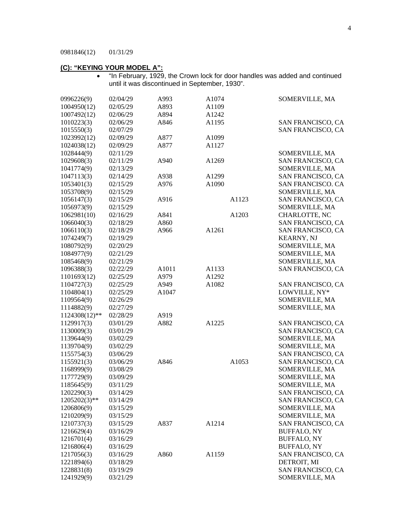# **(C): "KEYING YOUR MODEL A":**

• "In February, 1929, the Crown lock for door handles was added and continued until it was discontinued in September, 1930".

| 0996226(9)    | 02/04/29 | A993  | A1074 |       | SOMERVILLE, MA           |
|---------------|----------|-------|-------|-------|--------------------------|
| 1004950(12)   | 02/05/29 | A893  | A1109 |       |                          |
| 1007492(12)   | 02/06/29 | A894  | A1242 |       |                          |
| 1010223(3)    | 02/06/29 | A846  | A1195 |       | SAN FRANCISCO, CA        |
| 1015550(3)    | 02/07/29 |       |       |       | SAN FRANCISCO, CA        |
| 1023992(12)   | 02/09/29 | A877  | A1099 |       |                          |
| 1024038(12)   | 02/09/29 | A877  | A1127 |       |                          |
| 1028444(9)    | 02/11/29 |       |       |       | SOMERVILLE, MA           |
| 1029608(3)    | 02/11/29 | A940  | A1269 |       | SAN FRANCISCO, CA        |
| 1041774(9)    | 02/13/29 |       |       |       | SOMERVILLE, MA           |
| 1047113(3)    | 02/14/29 | A938  | A1299 |       | SAN FRANCISCO, CA        |
| 1053401(3)    | 02/15/29 | A976  | A1090 |       | <b>SAN FRANCISCO. CA</b> |
| 1053708(9)    | 02/15/29 |       |       |       | SOMERVILLE, MA           |
| 1056147(3)    | 02/15/29 | A916  |       | A1123 | SAN FRANCISCO, CA        |
| 1056973(9)    | 02/15/29 |       |       |       | SOMERVILLE, MA           |
| 1062981(10)   | 02/16/29 | A841  |       | A1203 | CHARLOTTE, NC            |
| 1066040(3)    | 02/18/29 | A860  |       |       | SAN FRANCISCO, CA        |
| 1066110(3)    | 02/18/29 | A966  | A1261 |       | SAN FRANCISCO, CA        |
| 1074249(7)    | 02/19/29 |       |       |       | <b>KEARNY, NJ</b>        |
| 1080792(9)    | 02/20/29 |       |       |       | SOMERVILLE, MA           |
| 1084977(9)    | 02/21/29 |       |       |       | SOMERVILLE, MA           |
| 1085468(9)    | 02/21/29 |       |       |       | SOMERVILLE, MA           |
|               | 02/22/29 |       |       |       |                          |
| 1096388(3)    |          | A1011 | A1133 |       | SAN FRANCISCO, CA        |
| 1101693(12)   | 02/25/29 | A979  | A1292 |       |                          |
| 1104727(3)    | 02/25/29 | A949  | A1082 |       | SAN FRANCISCO, CA        |
| 1104804(1)    | 02/25/29 | A1047 |       |       | LOWVILLE, NY*            |
| 1109564(9)    | 02/26/29 |       |       |       | SOMERVILLE, MA           |
| 1114882(9)    | 02/27/29 |       |       |       | SOMERVILLE, MA           |
| 1124308(12)** | 02/28/29 | A919  |       |       |                          |
| 1129917(3)    | 03/01/29 | A882  | A1225 |       | SAN FRANCISCO, CA        |
| 1130009(3)    | 03/01/29 |       |       |       | SAN FRANCISCO, CA        |
| 1139644(9)    | 03/02/29 |       |       |       | SOMERVILLE, MA           |
| 1139704(9)    | 03/02/29 |       |       |       | SOMERVILLE, MA           |
| 1155754(3)    | 03/06/29 |       |       |       | SAN FRANCISCO, CA        |
| 1155921(3)    | 03/06/29 | A846  |       | A1053 | SAN FRANCISCO, CA        |
| 1168999(9)    | 03/08/29 |       |       |       | SOMERVILLE, MA           |
| 1177729(9)    | 03/09/29 |       |       |       | SOMERVILLE, MA           |
| 1185645(9)    | 03/11/29 |       |       |       | SOMERVILLE, MA           |
| 1202290(3)    | 03/14/29 |       |       |       | SAN FRANCISCO, CA        |
| 1205202(3)**  | 03/14/29 |       |       |       | SAN FRANCISCO, CA        |
| 1206806(9)    | 03/15/29 |       |       |       | SOMERVILLE, MA           |
| 1210209(9)    | 03/15/29 |       |       |       | SOMERVILLE, MA           |
| 1210737(3)    | 03/15/29 | A837  | A1214 |       | SAN FRANCISCO, CA        |
| 1216629(4)    | 03/16/29 |       |       |       | <b>BUFFALO, NY</b>       |
| 1216701(4)    | 03/16/29 |       |       |       | <b>BUFFALO, NY</b>       |
| 1216806(4)    | 03/16/29 |       |       |       | <b>BUFFALO, NY</b>       |
| 1217056(3)    | 03/16/29 | A860  | A1159 |       | SAN FRANCISCO, CA        |
| 1221894(6)    | 03/18/29 |       |       |       | DETROIT, MI              |
| 1228831(8)    | 03/19/29 |       |       |       | SAN FRANCISCO, CA        |
| 1241929(9)    | 03/21/29 |       |       |       | SOMERVILLE, MA           |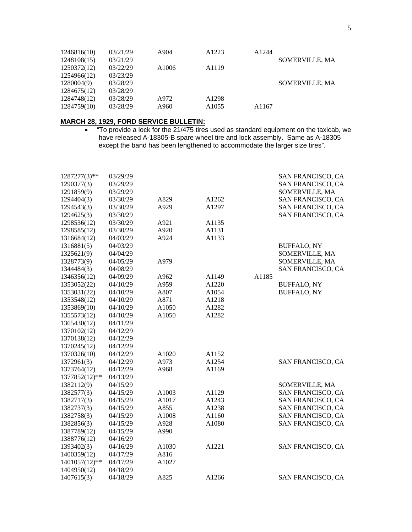| 1246816(10) | 03/21/29 | A904              | A <sub>1223</sub> | A1244 |                |
|-------------|----------|-------------------|-------------------|-------|----------------|
| 1248108(15) | 03/21/29 |                   |                   |       | SOMERVILLE, MA |
| 1250372(12) | 03/22/29 | A <sub>1006</sub> | A <sub>1119</sub> |       |                |
| 1254966(12) | 03/23/29 |                   |                   |       |                |
| 1280004(9)  | 03/28/29 |                   |                   |       | SOMERVILLE, MA |
| 1284675(12) | 03/28/29 |                   |                   |       |                |
| 1284748(12) | 03/28/29 | A972              | A <sub>1298</sub> |       |                |
| 1284759(10) | 03/28/29 | A960              | A <sub>1055</sub> | A1167 |                |

# **MARCH 28, 1929, FORD SERVICE BULLETIN:**

• "To provide a lock for the 21/475 tires used as standard equipment on the taxicab, we have released A-18305-B spare wheel tire and lock assembly. Same as A-18305 except the band has been lengthened to accommodate the larger size tires".

| $1287277(3)$ ** | 03/29/29 |       |       |       | SAN FRANCISCO, CA        |
|-----------------|----------|-------|-------|-------|--------------------------|
| 1290377(3)      | 03/29/29 |       |       |       | SAN FRANCISCO, CA        |
| 1291859(9)      | 03/29/29 |       |       |       | SOMERVILLE, MA           |
| 1294404(3)      | 03/30/29 | A829  | A1262 |       | SAN FRANCISCO, CA        |
| 1294543(3)      | 03/30/29 | A929  | A1297 |       | SAN FRANCISCO, CA        |
| 1294625(3)      | 03/30/29 |       |       |       | SAN FRANCISCO, CA        |
| 1298536(12)     | 03/30/29 | A921  | A1135 |       |                          |
| 1298585(12)     | 03/30/29 | A920  | A1131 |       |                          |
| 1316684(12)     | 04/03/29 | A924  | A1133 |       |                          |
| 1316881(5)      | 04/03/29 |       |       |       | <b>BUFFALO, NY</b>       |
| 1325621(9)      | 04/04/29 |       |       |       | SOMERVILLE, MA           |
| 1328773(9)      | 04/05/29 | A979  |       |       | SOMERVILLE, MA           |
| 1344484(3)      | 04/08/29 |       |       |       | <b>SAN FRANCISCO, CA</b> |
| 1346356(12)     | 04/09/29 | A962  | A1149 | A1185 |                          |
| 1353052(22)     | 04/10/29 | A959  | A1220 |       | <b>BUFFALO, NY</b>       |
| 1353031(22)     | 04/10/29 | A807  | A1054 |       | <b>BUFFALO, NY</b>       |
| 1353548(12)     | 04/10/29 | A871  | A1218 |       |                          |
| 1353869(10)     | 04/10/29 | A1050 | A1282 |       |                          |
| 1355573(12)     | 04/10/29 | A1050 | A1282 |       |                          |
| 1365430(12)     | 04/11/29 |       |       |       |                          |
| 1370102(12)     | 04/12/29 |       |       |       |                          |
| 1370138(12)     | 04/12/29 |       |       |       |                          |
| 1370245(12)     | 04/12/29 |       |       |       |                          |
| 1370326(10)     | 04/12/29 | A1020 | A1152 |       |                          |
| 1372961(3)      | 04/12/29 | A973  | A1254 |       | SAN FRANCISCO, CA        |
| 1373764(12)     | 04/12/29 | A968  | A1169 |       |                          |
| 1377852(12)**   | 04/13/29 |       |       |       |                          |
| 1382112(9)      | 04/15/29 |       |       |       | SOMERVILLE, MA           |
| 1382577(3)      | 04/15/29 | A1003 | A1129 |       | <b>SAN FRANCISCO, CA</b> |
| 1382717(3)      | 04/15/29 | A1017 | A1243 |       | SAN FRANCISCO, CA        |
| 1382737(3)      | 04/15/29 | A855  | A1238 |       | SAN FRANCISCO, CA        |
| 1382758(3)      | 04/15/29 | A1008 | A1160 |       | SAN FRANCISCO, CA        |
| 1382856(3)      | 04/15/29 | A928  | A1080 |       | SAN FRANCISCO, CA        |
| 1387789(12)     | 04/15/29 | A990  |       |       |                          |
| 1388776(12)     | 04/16/29 |       |       |       |                          |
| 1393402(3)      | 04/16/29 | A1030 | A1221 |       | SAN FRANCISCO, CA        |
| 1400359(12)     | 04/17/29 | A816  |       |       |                          |
| 1401057(12)**   | 04/17/29 | A1027 |       |       |                          |
| 1404950(12)     | 04/18/29 |       |       |       |                          |
| 1407615(3)      | 04/18/29 | A825  | A1266 |       | SAN FRANCISCO, CA        |
|                 |          |       |       |       |                          |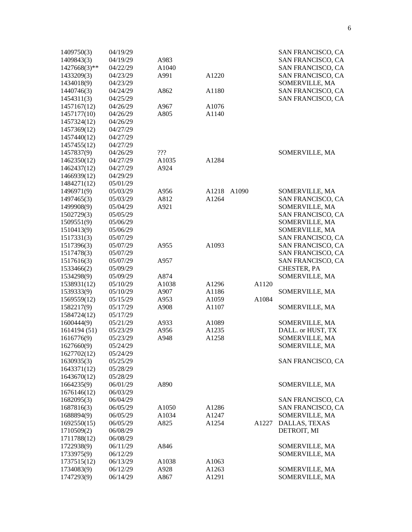| 1409750(3)   | 04/19/29 |                   |                   |       | SAN FRANCISCO, CA |
|--------------|----------|-------------------|-------------------|-------|-------------------|
| 1409843(3)   | 04/19/29 | A983              |                   |       | SAN FRANCISCO, CA |
| 1427668(3)** | 04/22/29 | A1040             |                   |       | SAN FRANCISCO, CA |
| 1433209(3)   | 04/23/29 | A991              | A1220             |       | SAN FRANCISCO, CA |
| 1434018(9)   | 04/23/29 |                   |                   |       | SOMERVILLE, MA    |
| 1440746(3)   | 04/24/29 | A862              | A1180             |       | SAN FRANCISCO, CA |
| 1454311(3)   | 04/25/29 |                   |                   |       | SAN FRANCISCO, CA |
| 1457167(12)  | 04/26/29 | A967              | A1076             |       |                   |
| 1457177(10)  | 04/26/29 | A805              | A1140             |       |                   |
| 1457324(12)  | 04/26/29 |                   |                   |       |                   |
| 1457369(12)  | 04/27/29 |                   |                   |       |                   |
| 1457440(12)  | 04/27/29 |                   |                   |       |                   |
| 1457455(12)  | 04/27/29 |                   |                   |       |                   |
| 1457837(9)   | 04/26/29 | 222               |                   |       | SOMERVILLE, MA    |
| 1462350(12)  | 04/27/29 | A1035             | A1284             |       |                   |
| 1462437(12)  | 04/27/29 | A924              |                   |       |                   |
| 1466939(12)  | 04/29/29 |                   |                   |       |                   |
| 1484271(12)  | 05/01/29 |                   |                   |       |                   |
| 1496971(9)   | 05/03/29 | A956              | A1218<br>A1090    |       | SOMERVILLE, MA    |
| 1497465(3)   | 05/03/29 | A812              | A1264             |       | SAN FRANCISCO, CA |
| 1499908(9)   | 05/04/29 | A921              |                   |       | SOMERVILLE, MA    |
| 1502729(3)   | 05/05/29 |                   |                   |       | SAN FRANCISCO, CA |
| 1509551(9)   | 05/06/29 |                   |                   |       | SOMERVILLE, MA    |
| 1510413(9)   | 05/06/29 |                   |                   |       | SOMERVILLE, MA    |
| 1517331(3)   | 05/07/29 |                   |                   |       | SAN FRANCISCO, CA |
| 1517396(3)   |          | A955              | A1093             |       | SAN FRANCISCO, CA |
| 1517478(3)   | 05/07/29 |                   |                   |       |                   |
|              | 05/07/29 |                   |                   |       | SAN FRANCISCO, CA |
| 1517616(3)   | 05/07/29 | A957              |                   |       | SAN FRANCISCO, CA |
| 1533466(2)   | 05/09/29 |                   |                   |       | CHESTER, PA       |
| 1534298(9)   | 05/09/29 | A874              |                   |       | SOMERVILLE, MA    |
| 1538931(12)  | 05/10/29 | A <sub>1038</sub> | A1296             | A1120 |                   |
| 1539333(9)   | 05/10/29 | A907              | A1186             |       | SOMERVILLE, MA    |
| 1569559(12)  | 05/15/29 | A953              | A1059             | A1084 |                   |
| 1582217(9)   | 05/17/29 | A908              | A1107             |       | SOMERVILLE, MA    |
| 1584724(12)  | 05/17/29 |                   |                   |       |                   |
| 1600444(9)   | 05/21/29 | A933              | A1089             |       | SOMERVILLE, MA    |
| 1614194 (51) | 05/23/29 | A956              | A1235             |       | DALL. or HUST, TX |
| 1616776(9)   | 05/23/29 | A948              | A1258             |       | SOMERVILLE, MA    |
| 1627660(9)   | 05/24/29 |                   |                   |       | SOMERVILLE, MA    |
| 1627702(12)  | 05/24/29 |                   |                   |       |                   |
| 1630935(3)   | 05/25/29 |                   |                   |       | SAN FRANCISCO, CA |
| 1643371(12)  | 05/28/29 |                   |                   |       |                   |
| 1643670(12)  | 05/28/29 |                   |                   |       |                   |
| 1664235(9)   | 06/01/29 | A890              |                   |       | SOMERVILLE, MA    |
| 1676146(12)  | 06/03/29 |                   |                   |       |                   |
| 1682095(3)   | 06/04/29 |                   |                   |       | SAN FRANCISCO, CA |
| 1687816(3)   | 06/05/29 | A1050             | A1286             |       | SAN FRANCISCO, CA |
| 1688894(9)   | 06/05/29 | A1034             | A1247             |       | SOMERVILLE, MA    |
| 1692550(15)  | 06/05/29 | A825              | A1254             | A1227 | DALLAS, TEXAS     |
| 1710509(2)   | 06/08/29 |                   |                   |       | DETROIT, MI       |
| 1711788(12)  | 06/08/29 |                   |                   |       |                   |
| 1722938(9)   | 06/11/29 | A846              |                   |       | SOMERVILLE, MA    |
| 1733975(9)   | 06/12/29 |                   |                   |       | SOMERVILLE, MA    |
| 1737515(12)  | 06/13/29 | A <sub>1038</sub> | A <sub>1063</sub> |       |                   |
| 1734083(9)   | 06/12/29 | A928              | A1263             |       | SOMERVILLE, MA    |
| 1747293(9)   | 06/14/29 | A867              | A1291             |       | SOMERVILLE, MA    |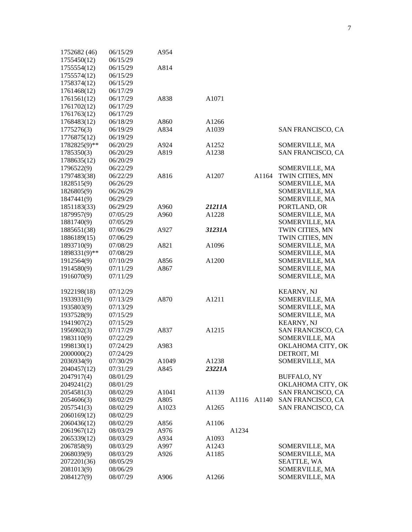| 1752682 (46) | 06/15/29 | A954              |                   |       |                    |
|--------------|----------|-------------------|-------------------|-------|--------------------|
| 1755450(12)  | 06/15/29 |                   |                   |       |                    |
| 1755554(12)  | 06/15/29 | A814              |                   |       |                    |
| 1755574(12)  | 06/15/29 |                   |                   |       |                    |
| 1758374(12)  | 06/15/29 |                   |                   |       |                    |
| 1761468(12)  | 06/17/29 |                   |                   |       |                    |
| 1761561(12)  | 06/17/29 | A838              | A1071             |       |                    |
| 1761702(12)  | 06/17/29 |                   |                   |       |                    |
| 1761763(12)  | 06/17/29 |                   |                   |       |                    |
| 1768483(12)  | 06/18/29 | A860              | A <sub>1266</sub> |       |                    |
| 1775276(3)   | 06/19/29 | A834              | A1039             |       | SAN FRANCISCO, CA  |
| 1776875(12)  | 06/19/29 |                   |                   |       |                    |
| 1782825(9)** | 06/20/29 | A924              | A <sub>1252</sub> |       | SOMERVILLE, MA     |
| 1785350(3)   | 06/20/29 | A819              | A <sub>1238</sub> |       | SAN FRANCISCO, CA  |
| 1788635(12)  | 06/20/29 |                   |                   |       |                    |
| 1796522(9)   | 06/22/29 |                   |                   |       | SOMERVILLE, MA     |
| 1797483(38)  | 06/22/29 | A816              | A1207             | A1164 | TWIN CITIES, MN    |
| 1828515(9)   |          |                   |                   |       | SOMERVILLE, MA     |
| 1826805(9)   | 06/26/29 |                   |                   |       |                    |
|              | 06/26/29 |                   |                   |       | SOMERVILLE, MA     |
| 1847441(9)   | 06/29/29 |                   |                   |       | SOMERVILLE, MA     |
| 1851183(33)  | 06/29/29 | A960              | 21211A            |       | PORTLAND, OR       |
| 1879957(9)   | 07/05/29 | A960              | A1228             |       | SOMERVILLE, MA     |
| 1881740(9)   | 07/05/29 |                   |                   |       | SOMERVILLE, MA     |
| 1885651(38)  | 07/06/29 | A927              | 31231A            |       | TWIN CITIES, MN    |
| 1886189(15)  | 07/06/29 |                   |                   |       | TWIN CITIES, MN    |
| 1893710(9)   | 07/08/29 | A821              | A1096             |       | SOMERVILLE, MA     |
| 1898331(9)** | 07/08/29 |                   |                   |       | SOMERVILLE, MA     |
| 1912564(9)   | 07/10/29 | A856              | A1200             |       | SOMERVILLE, MA     |
| 1914580(9)   | 07/11/29 | A867              |                   |       | SOMERVILLE, MA     |
| 1916070(9)   | 07/11/29 |                   |                   |       | SOMERVILLE, MA     |
| 1922198(18)  | 07/12/29 |                   |                   |       | <b>KEARNY, NJ</b>  |
| 1933931(9)   | 07/13/29 | A870              | A1211             |       | SOMERVILLE, MA     |
| 1935803(9)   | 07/13/29 |                   |                   |       | SOMERVILLE, MA     |
| 1937528(9)   | 07/15/29 |                   |                   |       | SOMERVILLE, MA     |
| 1941907(2)   | 07/15/29 |                   |                   |       | <b>KEARNY, NJ</b>  |
| 1956902(3)   | 07/17/29 | A837              | A1215             |       | SAN FRANCISCO, CA  |
| 1983110(9)   | 07/22/29 |                   |                   |       | SOMERVILLE, MA     |
| 1998130(1)   | 07/24/29 | A983              |                   |       | OKLAHOMA CITY, OK  |
| 2000000(2)   | 07/24/29 |                   |                   |       | DETROIT, MI        |
| 2036934(9)   | 07/30/29 | A1049             | A1238             |       | SOMERVILLE, MA     |
| 2040457(12)  | 07/31/29 | A845              | 23221A            |       |                    |
| 2047917(4)   | 08/01/29 |                   |                   |       | <b>BUFFALO, NY</b> |
| 2049241(2)   | 08/01/29 |                   |                   |       | OKLAHOMA CITY, OK  |
| 2054581(3)   | 08/02/29 | A <sub>1041</sub> | A1139             |       | SAN FRANCISCO, CA  |
| 2054606(3)   | 08/02/29 | A805              | A1116             | A1140 | SAN FRANCISCO, CA  |
| 2057541(3)   | 08/02/29 | A1023             | A <sub>1265</sub> |       | SAN FRANCISCO, CA  |
| 2060169(12)  | 08/02/29 |                   |                   |       |                    |
| 2060436(12)  | 08/02/29 | A856              | A <sub>1106</sub> |       |                    |
| 2061967(12)  | 08/03/29 | A976              | A1234             |       |                    |
| 2065339(12)  | 08/03/29 | A934              | A <sub>1093</sub> |       |                    |
| 2067858(9)   | 08/03/29 | A997              | A <sub>1243</sub> |       | SOMERVILLE, MA     |
| 2068039(9)   | 08/03/29 | A926              | A1185             |       | SOMERVILLE, MA     |
| 2072201(36)  | 08/05/29 |                   |                   |       | <b>SEATTLE, WA</b> |
| 2081013(9)   | 08/06/29 |                   |                   |       | SOMERVILLE, MA     |
| 2084127(9)   | 08/07/29 | A906              | A1266             |       | SOMERVILLE, MA     |
|              |          |                   |                   |       |                    |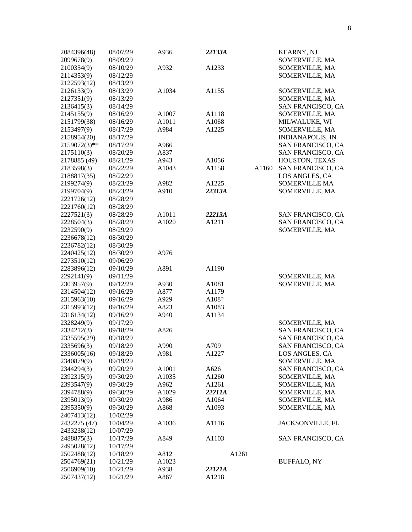| 2084396(48)<br>2099678(9) | 08/07/29<br>08/09/29 | A936               | 22133A |       | <b>KEARNY, NJ</b><br>SOMERVILLE, MA |
|---------------------------|----------------------|--------------------|--------|-------|-------------------------------------|
| 2100354(9)                | 08/10/29             | A932               | A1233  |       | SOMERVILLE, MA                      |
| 2114353(9)                | 08/12/29             |                    |        |       | SOMERVILLE, MA                      |
| 2122593(12)               | 08/13/29             |                    |        |       |                                     |
| 2126133(9)                | 08/13/29             | A1034              | A1155  |       | SOMERVILLE, MA                      |
| 2127351(9)                | 08/13/29             |                    |        |       | SOMERVILLE, MA                      |
| 2136415(3)                | 08/14/29             |                    |        |       | SAN FRANCISCO, CA                   |
| 2145155(9)                | 08/16/29             | A1007              | A1118  |       | SOMERVILLE, MA                      |
| 2151799(38)               | 08/16/29             | A1011              | A1068  |       | MILWALUKE, WI                       |
| 2153497(9)                | 08/17/29             | A984               | A1225  |       | SOMERVILLE, MA                      |
| 2158954(20)               | 08/17/29             |                    |        |       | <b>INDIANAPOLIS, IN</b>             |
| 2159072(3)**              | 08/17/29             | A966               |        |       | SAN FRANCISCO, CA                   |
| 2175110(3)                | 08/20/29             | A837               |        |       | SAN FRANCISCO, CA                   |
| 2178885 (49)              | 08/21/29             | A943               | A1056  |       | HOUSTON, TEXAS                      |
| 2183598(3)                | 08/22/29             | A1043              | A1158  | A1160 | SAN FRANCISCO, CA                   |
| 2188817(35)               | 08/22/29             |                    |        |       | LOS ANGLES, CA                      |
| 2199274(9)                | 08/23/29             | A982               | A1225  |       | <b>SOMERVILLE MA</b>                |
| 2199704(9)                | 08/23/29             | A910               | 22313A |       | SOMERVILLE, MA                      |
| 2221726(12)               | 08/28/29             |                    |        |       |                                     |
| 2221760(12)               | 08/28/29             |                    |        |       |                                     |
| 2227521(3)                | 08/28/29             | A1011              | 22213A |       | SAN FRANCISCO, CA                   |
| 2228504(3)                | 08/28/29             | A1020              | A1211  |       | SAN FRANCISCO, CA                   |
| 2232590(9)                | 08/29/29             |                    |        |       | SOMERVILLE, MA                      |
| 2236678(12)               | 08/30/29             |                    |        |       |                                     |
| 2236782(12)               | 08/30/29             |                    |        |       |                                     |
| 2240425(12)               | 08/30/29             | A976               |        |       |                                     |
| 2273510(12)               | 09/06/29             |                    |        |       |                                     |
| 2283896(12)               | 09/10/29             | A891               | A1190  |       |                                     |
| 2292141(9)                | 09/11/29             |                    |        |       | SOMERVILLE, MA                      |
| 2303957(9)                | 09/12/29             | A930               | A1081  |       | SOMERVILLE, MA                      |
| 2314504(12)               | 09/16/29             | A877               | A1179  |       |                                     |
| 2315963(10)               | 09/16/29             | A929               | A108?  |       |                                     |
| 2315993(12)               | 09/16/29             | A823               | A1083  |       |                                     |
| 2316134(12)               | 09/16/29             | A940               | A1134  |       |                                     |
| 2328249(9)                | 09/17/29             |                    |        |       | SOMERVILLE, MA                      |
| 2334212(3)                | 09/18/29             | A826               |        |       | SAN FRANCISCO, CA                   |
| 2335595(29)               | 09/18/29             |                    |        |       | SAN FRANCISCO, CA                   |
| 2335696(3)                | 09/18/29             | A990               | A709   |       | SAN FRANCISCO, CA                   |
| 2336005(16)               | 09/18/29             | A981               | A1227  |       | LOS ANGLES, CA                      |
| 2340879(9)                | 09/19/29             |                    |        |       | SOMERVILLE, MA                      |
| 2344294(3)                | 09/20/29             | A1001              | A626   |       | SAN FRANCISCO, CA                   |
| 2392315(9)                | 09/30/29             | A <sub>1</sub> 035 | A1260  |       | SOMERVILLE, MA                      |
| 2393547(9)                | 09/30/29             | A962               | A1261  |       | SOMERVILLE, MA                      |
| 2394788(9)                | 09/30/29             | A1029              | 22211A |       | SOMERVILLE, MA                      |
| 2395013(9)                | 09/30/29             | A986               | A1064  |       | SOMERVILLE, MA                      |
| 2395350(9)                | 09/30/29             | A868               | A1093  |       | SOMERVILLE, MA                      |
| 2407413(12)               | 10/02/29             |                    |        |       |                                     |
| 2432275 (47)              | 10/04/29             | A1036              | A1116  |       | JACKSONVILLE, FL                    |
| 2433238(12)               | 10/07/29             |                    |        |       |                                     |
| 2488875(3)                | 10/17/29             | A849               | A1103  |       | SAN FRANCISCO, CA                   |
| 2495028(12)               | 10/17/29             |                    |        |       |                                     |
| 2502488(12)               | 10/18/29             | A812               | A1261  |       |                                     |
| 2504769(21)               | 10/21/29             | A1023              |        |       | <b>BUFFALO, NY</b>                  |
| 2506909(10)               | 10/21/29             | A938               | 22121A |       |                                     |
| 2507437(12)               | 10/21/29             | A867               | A1218  |       |                                     |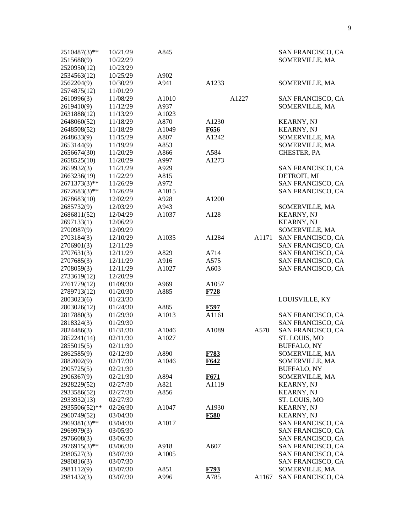| 2510487(3)**  | 10/21/29 | A845              |             |       |       | SAN FRANCISCO, CA  |
|---------------|----------|-------------------|-------------|-------|-------|--------------------|
| 2515688(9)    | 10/22/29 |                   |             |       |       | SOMERVILLE, MA     |
| 2520950(12)   | 10/23/29 |                   |             |       |       |                    |
| 2534563(12)   | 10/25/29 | A902              |             |       |       |                    |
| 2562204(9)    | 10/30/29 | A941              | A1233       |       |       | SOMERVILLE, MA     |
| 2574875(12)   | 11/01/29 |                   |             |       |       |                    |
| 2610996(3)    | 11/08/29 | A1010             |             | A1227 |       | SAN FRANCISCO, CA  |
| 2619410(9)    | 11/12/29 | A937              |             |       |       | SOMERVILLE, MA     |
| 2631888(12)   | 11/13/29 | A1023             |             |       |       |                    |
| 2648060(52)   | 11/18/29 | A870              | A1230       |       |       | <b>KEARNY, NJ</b>  |
| 2648508(52)   | 11/18/29 | A1049             | F656        |       |       | <b>KEARNY, NJ</b>  |
| 2648633(9)    | 11/15/29 | A807              | A1242       |       |       | SOMERVILLE, MA     |
| 2653144(9)    | 11/19/29 | A853              |             |       |       | SOMERVILLE, MA     |
| 2656674(30)   | 11/20/29 | A866              | A584        |       |       | CHESTER, PA        |
| 2658525(10)   | 11/20/29 | A997              | A1273       |       |       |                    |
| 2659932(3)    | 11/21/29 | A929              |             |       |       | SAN FRANCISCO, CA  |
| 2663236(19)   | 11/22/29 | A815              |             |       |       | DETROIT, MI        |
| 2671373(3)**  | 11/26/29 | A972              |             |       |       | SAN FRANCISCO, CA  |
| 2672683(3)**  |          | A1015             |             |       |       | SAN FRANCISCO, CA  |
| 2678683(10)   | 11/26/29 |                   |             |       |       |                    |
|               | 12/02/29 | A928              | A1200       |       |       |                    |
| 2685732(9)    | 12/03/29 | A943              |             |       |       | SOMERVILLE, MA     |
| 2686811(52)   | 12/04/29 | A1037             | A128        |       |       | <b>KEARNY, NJ</b>  |
| 2697133(1)    | 12/06/29 |                   |             |       |       | <b>KEARNY, NJ</b>  |
| 2700987(9)    | 12/09/29 |                   |             |       |       | SOMERVILLE, MA     |
| 2703184(3)    | 12/10/29 | A1035             | A1284       |       | A1171 | SAN FRANCISCO, CA  |
| 2706901(3)    | 12/11/29 |                   |             |       |       | SAN FRANCISCO, CA  |
| 2707631(3)    | 12/11/29 | A829              | A714        |       |       | SAN FRANCISCO, CA  |
| 2707685(3)    | 12/11/29 | A916              | A575        |       |       | SAN FRANCISCO, CA  |
| 2708059(3)    | 12/11/29 | A1027             | A603        |       |       | SAN FRANCISCO, CA  |
| 2733619(12)   | 12/20/29 |                   |             |       |       |                    |
| 2761779(12)   | 01/09/30 | A969              | A1057       |       |       |                    |
| 2789713(12)   | 01/20/30 | A885              | F728        |       |       |                    |
| 2803023(6)    | 01/23/30 |                   |             |       |       | LOUISVILLE, KY     |
| 2803026(12)   | 01/24/30 | A885              | F597        |       |       |                    |
| 2817880(3)    | 01/29/30 | A1013             | A1161       |       |       | SAN FRANCISCO, CA  |
| 2818324(3)    | 01/29/30 |                   |             |       |       | SAN FRANCISCO, CA  |
| 2824486(3)    | 01/31/30 | A1046             | A1089       |       | A570  | SAN FRANCISCO, CA  |
| 2852241(14)   | 02/11/30 | A1027             |             |       |       | ST. LOUIS, MO      |
| 2855015(5)    | 02/11/30 |                   |             |       |       | <b>BUFFALO, NY</b> |
| 2862585(9)    | 02/12/30 | A890              | F783        |       |       | SOMERVILLE, MA     |
| 2882002(9)    | 02/17/30 | A1046             | F642        |       |       | SOMERVILLE, MA     |
| 2905725(5)    | 02/21/30 |                   |             |       |       | <b>BUFFALO, NY</b> |
| 2906367(9)    | 02/21/30 | A894              | F671        |       |       | SOMERVILLE, MA     |
| 2928229(52)   | 02/27/30 | A821              | A1119       |       |       | <b>KEARNY, NJ</b>  |
| 2933586(52)   | 02/27/30 | A856              |             |       |       | <b>KEARNY, NJ</b>  |
| 2933932(13)   | 02/27/30 |                   |             |       |       | ST. LOUIS, MO      |
| 2935506(52)** | 02/26/30 | A1047             | A1930       |       |       | <b>KEARNY, NJ</b>  |
| 2960749(52)   | 03/04/30 |                   | <b>F580</b> |       |       | <b>KEARNY, NJ</b>  |
| 2969381(3)**  | 03/04/30 | A1017             |             |       |       | SAN FRANCISCO, CA  |
| 2969979(3)    | 03/05/30 |                   |             |       |       | SAN FRANCISCO, CA  |
| 2976608(3)    | 03/06/30 |                   |             |       |       | SAN FRANCISCO, CA  |
| 2976915(3)**  | 03/06/30 | A918              | A607        |       |       | SAN FRANCISCO, CA  |
| 2980527(3)    | 03/07/30 | A <sub>1005</sub> |             |       |       | SAN FRANCISCO, CA  |
| 2980816(3)    | 03/07/30 |                   |             |       |       | SAN FRANCISCO, CA  |
| 2981112(9)    | 03/07/30 | A851              | F793        |       |       | SOMERVILLE, MA     |
| 2981432(3)    | 03/07/30 | A996              | A785        |       | A1167 | SAN FRANCISCO, CA  |
|               |          |                   |             |       |       |                    |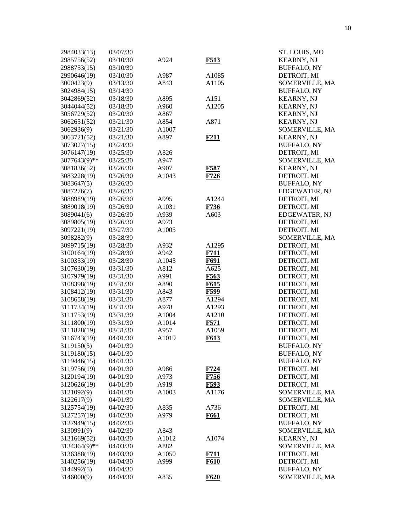| 2984033(13)  | 03/07/30 |                   |                  | ST. LOUIS, MO        |
|--------------|----------|-------------------|------------------|----------------------|
| 2985756(52)  | 03/10/30 | A924              | F513             | <b>KEARNY, NJ</b>    |
| 2988753(15)  | 03/10/30 |                   |                  | <b>BUFFALO, NY</b>   |
| 2990646(19)  | 03/10/30 | A987              | A1085            | DETROIT, MI          |
| 3000423(9)   | 03/13/30 | A843              | A1105            | SOMERVILLE, MA       |
| 3024984(15)  | 03/14/30 |                   |                  | <b>BUFFALO, NY</b>   |
| 3042869(52)  | 03/18/30 | A895              | A151             | <b>KEARNY, NJ</b>    |
| 3044044(52)  | 03/18/30 | A960              | A1205            | <b>KEARNY, NJ</b>    |
| 3056729(52)  | 03/20/30 | A867              |                  | <b>KEARNY, NJ</b>    |
| 3062651(52)  | 03/21/30 | A854              | A871             | <b>KEARNY, NJ</b>    |
| 3062936(9)   | 03/21/30 | A1007             |                  | SOMERVILLE, MA       |
| 3063721(52)  | 03/21/30 | A897              | F <sub>211</sub> | <b>KEARNY, NJ</b>    |
| 3073027(15)  | 03/24/30 |                   |                  | <b>BUFFALO, NY</b>   |
| 3076147(19)  | 03/25/30 | A826              |                  | DETROIT, MI          |
| 3077643(9)** | 03/25/30 | A947              |                  | SOMERVILLE, MA       |
| 3081836(52)  | 03/26/30 | A907              | F587             | <b>KEARNY, NJ</b>    |
| 3083228(19)  | 03/26/30 | A1043             | F726             | DETROIT, MI          |
| 3083647(5)   | 03/26/30 |                   |                  | <b>BUFFALO, NY</b>   |
| 3087276(7)   | 03/26/30 |                   |                  | <b>EDGEWATER, NJ</b> |
| 3088989(19)  | 03/26/30 | A995              | A1244            | DETROIT, MI          |
| 3089018(19)  | 03/26/30 | A1031             | F736             | DETROIT, MI          |
| 3089041(6)   | 03/26/30 | A939              | A603             | EDGEWATER, NJ        |
| 3089805(19)  | 03/26/30 | A973              |                  | DETROIT, MI          |
| 3097221(19)  | 03/27/30 | A1005             |                  | DETROIT, MI          |
| 3098282(9)   | 03/28/30 |                   |                  | SOMERVILLE, MA       |
| 3099715(19)  | 03/28/30 | A932              | A1295            | DETROIT, MI          |
| 3100164(19)  | 03/28/30 | A942              | F711             | DETROIT, MI          |
| 3100353(19)  | 03/28/30 | A1045             | F691             | DETROIT, MI          |
| 3107630(19)  | 03/31/30 | A812              | A625             | DETROIT, MI          |
| 3107979(19)  | 03/31/30 | A991              | F563             | DETROIT, MI          |
| 3108398(19)  | 03/31/30 | A890              | F615             | DETROIT, MI          |
| 3108412(19)  | 03/31/30 | A843              | F599             | DETROIT, MI          |
| 3108658(19)  | 03/31/30 | A877              | A1294            | DETROIT, MI          |
| 3111734(19)  | 03/31/30 | A978              | A1293            | DETROIT, MI          |
| 3111753(19)  | 03/31/30 | A1004             | A1210            | DETROIT, MI          |
| 3111800(19)  | 03/31/30 | A1014             | F571             | DETROIT, MI          |
| 3111828(19)  | 03/31/30 | A957              | A1059            | DETROIT, MI          |
| 3116743(19)  | 04/01/30 | A1019             | F613             | DETROIT, MI          |
| 3119150(5)   | 04/01/30 |                   |                  | <b>BUFFALO. NY</b>   |
| 3119180(15)  | 04/01/30 |                   |                  | <b>BUFFALO, NY</b>   |
| 3119446(15)  | 04/01/30 |                   |                  | <b>BUFFALO, NY</b>   |
| 3119756(19)  | 04/01/30 | A986              | F724             | DETROIT, MI          |
| 3120194(19)  | 04/01/30 | A973              | F756             | DETROIT, MI          |
| 3120626(19)  | 04/01/30 | A919              | F593             | DETROIT, MI          |
| 3121092(9)   | 04/01/30 | A1003             | A1176            | SOMERVILLE, MA       |
| 3122617(9)   | 04/01/30 |                   |                  | SOMERVILLE, MA       |
| 3125754(19)  | 04/02/30 | A835              | A736             | DETROIT, MI          |
| 3127257(19)  | 04/02/30 | A979              | F661             | DETROIT, MI          |
| 3127949(15)  | 04/02/30 |                   |                  | <b>BUFFALO, NY</b>   |
| 3130991(9)   | 04/02/30 | A843              |                  | SOMERVILLE, MA       |
| 3131669(52)  | 04/03/30 | A <sub>1012</sub> | A1074            | <b>KEARNY, NJ</b>    |
| 3134364(9)** | 04/03/30 | A882              |                  | SOMERVILLE, MA       |
| 3136388(19)  | 04/03/30 | A <sub>1050</sub> | F711             | DETROIT, MI          |
| 3140256(19)  | 04/04/30 | A999              | F610             | DETROIT, MI          |
| 3144992(5)   | 04/04/30 |                   |                  | <b>BUFFALO, NY</b>   |
| 3146000(9)   | 04/04/30 | A835              | F620             | SOMERVILLE, MA       |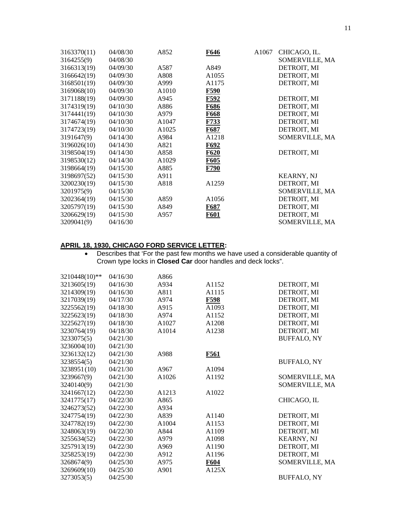| 3163370(11) | 04/08/30 | A852              | F646        | A1067 | CHICAGO, IL.      |
|-------------|----------|-------------------|-------------|-------|-------------------|
| 3164255(9)  | 04/08/30 |                   |             |       | SOMERVILLE, MA    |
| 3166313(19) | 04/09/30 | A587              | A849        |       | DETROIT, MI       |
| 3166642(19) | 04/09/30 | A808              | A1055       |       | DETROIT, MI       |
| 3168501(19) | 04/09/30 | A999              | A1175       |       | DETROIT, MI       |
| 3169068(10) | 04/09/30 | A1010             | F590        |       |                   |
| 3171188(19) | 04/09/30 | A945              | F592        |       | DETROIT, MI       |
| 3174319(19) | 04/10/30 | A886              | F686        |       | DETROIT, MI       |
| 3174441(19) | 04/10/30 | A979              | F668        |       | DETROIT, MI       |
| 3174674(19) | 04/10/30 | A <sub>1047</sub> | F733        |       | DETROIT, MI       |
| 3174723(19) | 04/10/30 | A1025             | F687        |       | DETROIT, MI       |
| 3191647(9)  | 04/14/30 | A984              | A1218       |       | SOMERVILLE, MA    |
| 3196026(10) | 04/14/30 | A821              | F692        |       |                   |
| 3198504(19) | 04/14/30 | A858              | F620        |       | DETROIT, MI       |
| 3198530(12) | 04/14/30 | A1029             | F605        |       |                   |
| 3198664(19) | 04/15/30 | A885              | <b>F790</b> |       |                   |
| 3198697(52) | 04/15/30 | A911              |             |       | <b>KEARNY, NJ</b> |
| 3200230(19) | 04/15/30 | A818              | A1259       |       | DETROIT, MI       |
| 3201975(9)  | 04/15/30 |                   |             |       | SOMERVILLE, MA    |
| 3202364(19) | 04/15/30 | A859              | A1056       |       | DETROIT, MI       |
| 3205797(19) | 04/15/30 | A849              | F687        |       | DETROIT, MI       |
| 3206629(19) | 04/15/30 | A957              | F601        |       | DETROIT, MI       |
| 3209041(9)  | 04/16/30 |                   |             |       | SOMERVILLE, MA    |

# **APRIL 18, 1930, CHICAGO FORD SERVICE LETTER:**

• Describes that 'For the past few months we have used a considerable quantity of Crown type locks in **Closed Car** door handles and deck locks".

| 3210448(10)** | 04/16/30 | A866  |             |                    |
|---------------|----------|-------|-------------|--------------------|
| 3213605(19)   | 04/16/30 | A934  | A1152       | DETROIT, MI        |
| 3214309(19)   | 04/16/30 | A811  | A1115       | DETROIT, MI        |
| 3217039(19)   | 04/17/30 | A974  | <b>F598</b> | DETROIT, MI        |
| 3225562(19)   | 04/18/30 | A915  | A1093       | DETROIT, MI        |
| 3225623(19)   | 04/18/30 | A974  | A1152       | DETROIT, MI        |
| 3225627(19)   | 04/18/30 | A1027 | A1208       | DETROIT, MI        |
| 3230764(19)   | 04/18/30 | A1014 | A1238       | DETROIT, MI        |
| 3233075(5)    | 04/21/30 |       |             | <b>BUFFALO, NY</b> |
| 3236004(10)   | 04/21/30 |       |             |                    |
| 3236132(12)   | 04/21/30 | A988  | <b>F561</b> |                    |
| 3238554(5)    | 04/21/30 |       |             | <b>BUFFALO, NY</b> |
| 3238951(10)   | 04/21/30 | A967  | A1094       |                    |
| 3239667(9)    | 04/21/30 | A1026 | A1192       | SOMERVILLE, MA     |
| 3240140(9)    | 04/21/30 |       |             | SOMERVILLE, MA     |
| 3241667(12)   | 04/22/30 | A1213 | A1022       |                    |
| 3241775(17)   | 04/22/30 | A865  |             | CHICAGO, IL        |
| 3246273(52)   | 04/22/30 | A934  |             |                    |
| 3247754(19)   | 04/22/30 | A839  | A1140       | DETROIT, MI        |
| 3247782(19)   | 04/22/30 | A1004 | A1153       | DETROIT, MI        |
| 3248063(19)   | 04/22/30 | A844  | A1109       | DETROIT, MI        |
| 3255634(52)   | 04/22/30 | A979  | A1098       | <b>KEARNY, NJ</b>  |
| 3257913(19)   | 04/22/30 | A969  | A1190       | DETROIT, MI        |
| 3258253(19)   | 04/22/30 | A912  | A1196       | DETROIT, MI        |
| 3268674(9)    | 04/25/30 | A975  | F604        | SOMERVILLE, MA     |
| 3269609(10)   | 04/25/30 | A901  | A125X       |                    |
| 3273053(5)    | 04/25/30 |       |             | <b>BUFFALO, NY</b> |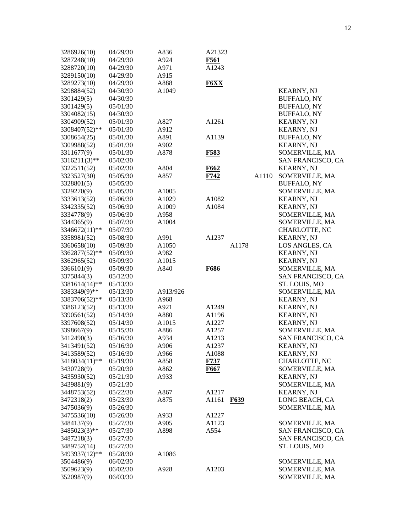| 3286926(10)   | 04/29/30 | A836              | A21323            |       |       |                      |
|---------------|----------|-------------------|-------------------|-------|-------|----------------------|
| 3287248(10)   | 04/29/30 | A924              | <b>F561</b>       |       |       |                      |
| 3288720(10)   | 04/29/30 | A971              | A1243             |       |       |                      |
| 3289150(10)   | 04/29/30 | A915              |                   |       |       |                      |
| 3289273(10)   | 04/29/30 | A888              | <b>F6XX</b>       |       |       |                      |
| 3298884(52)   | 04/30/30 | A1049             |                   |       |       | <b>KEARNY, NJ</b>    |
| 3301429(5)    | 04/30/30 |                   |                   |       |       | BUFFALO, NY          |
| 3301429(5)    | 05/01/30 |                   |                   |       |       | <b>BUFFALO, NY</b>   |
| 3304082(15)   | 04/30/30 |                   |                   |       |       | <b>BUFFALO, NY</b>   |
| 3304909(52)   | 05/01/30 | A827              | A1261             |       |       | <b>KEARNY, NJ</b>    |
| 3308407(52)** | 05/01/30 | A912              |                   |       |       | <b>KEARNY, NJ</b>    |
| 3308654(25)   | 05/01/30 | A891              | A1139             |       |       | <b>BUFFALO, NY</b>   |
| 3309988(52)   | 05/01/30 | A902              |                   |       |       | <b>KEARNY, NJ</b>    |
| 3311677(9)    | 05/01/30 | A878              | F583              |       |       | SOMERVILLE, MA       |
| 3316211(3)**  | 05/02/30 |                   |                   |       |       | SAN FRANCISCO, CA    |
| 3322511(52)   | 05/02/30 | A804              | F662              |       |       | <b>KEARNY, NJ</b>    |
| 3323527(30)   | 05/05/30 | A857              | F742              |       | A1110 | SOMERVILLE, MA       |
| 3328801(5)    | 05/05/30 |                   |                   |       |       | <b>BUFFALO, NY</b>   |
| 3329270(9)    | 05/05/30 | A <sub>1005</sub> |                   |       |       | SOMERVILLE, MA       |
| 3333613(52)   | 05/06/30 | A <sub>1029</sub> | A1082             |       |       | <b>KEARNY, NJ</b>    |
| 3342335(52)   | 05/06/30 | A <sub>1009</sub> | A1084             |       |       | <b>KEARNY, NJ</b>    |
| 3334778(9)    | 05/06/30 | A958              |                   |       |       | SOMERVILLE, MA       |
| 3344365(9)    | 05/07/30 | A1004             |                   |       |       | SOMERVILLE, MA       |
| 3346672(11)** | 05/07/30 |                   |                   |       |       | <b>CHARLOTTE, NC</b> |
| 3358981(52)   | 05/08/30 | A991              | A1237             |       |       | <b>KEARNY, NJ</b>    |
| 3360658(10)   | 05/09/30 | A <sub>1050</sub> |                   | A1178 |       | LOS ANGLES, CA       |
| 3362877(52)** | 05/09/30 | A982              |                   |       |       | <b>KEARNY, NJ</b>    |
| 3362965(52)   | 05/09/30 | A <sub>1015</sub> |                   |       |       | <b>KEARNY, NJ</b>    |
| 3366101(9)    | 05/09/30 | A840              | F686              |       |       | SOMERVILLE, MA       |
| 3375844(3)    | 05/12/30 |                   |                   |       |       | SAN FRANCISCO, CA    |
| 3381614(14)** | 05/13/30 |                   |                   |       |       | ST. LOUIS, MO        |
| 3383349(9)**  | 05/13/30 | A913/926          |                   |       |       | SOMERVILLE, MA       |
| 3383706(52)** | 05/13/30 | A968              |                   |       |       | <b>KEARNY, NJ</b>    |
| 3386123(52)   | 05/13/30 | A921              | A <sub>1249</sub> |       |       | <b>KEARNY, NJ</b>    |
| 3390561(52)   | 05/14/30 | A880              | A1196             |       |       | <b>KEARNY, NJ</b>    |
| 3397608(52)   | 05/14/30 | A1015             | A1227             |       |       | <b>KEARNY, NJ</b>    |
| 3398667(9)    | 05/15/30 | A886              | A1257             |       |       | SOMERVILLE, MA       |
| 3412490(3)    | 05/16/30 | A934              | A1213             |       |       | SAN FRANCISCO, CA    |
| 3413491(52)   | 05/16/30 | A906              | A1237             |       |       | <b>KEARNY, NJ</b>    |
| 3413589(52)   | 05/16/30 | A966              | A1088             |       |       | <b>KEARNY, NJ</b>    |
| 3418034(11)** | 05/19/30 | A858              | F737              |       |       | CHARLOTTE, NC        |
| 3430728(9)    | 05/20/30 | A862              | F667              |       |       | SOMERVILLE, MA       |
| 3435930(52)   | 05/21/30 | A933              |                   |       |       | <b>KEARNY, NJ</b>    |
| 3439881(9)    | 05/21/30 |                   |                   |       |       | SOMERVILLE, MA       |
| 3448753(52)   | 05/22/30 | A867              | A1217             |       |       | <b>KEARNY, NJ</b>    |
| 3472318(2)    |          | A875              | A1161             |       |       | LONG BEACH, CA       |
|               | 05/23/30 |                   |                   | F639  |       |                      |
| 3475036(9)    | 05/26/30 |                   |                   |       |       | SOMERVILLE, MA       |
| 3475536(10)   | 05/26/30 | A933              | A1227             |       |       |                      |
| 3484137(9)    | 05/27/30 | A905              | A1123             |       |       | SOMERVILLE, MA       |
| 3485023(3)**  | 05/27/30 | A898              | A554              |       |       | SAN FRANCISCO, CA    |
| 3487218(3)    | 05/27/30 |                   |                   |       |       | SAN FRANCISCO, CA    |
| 3489752(14)   | 05/27/30 |                   |                   |       |       | ST. LOUIS, MO        |
| 3493937(12)** | 05/28/30 | A1086             |                   |       |       |                      |
| 3504486(9)    | 06/02/30 |                   |                   |       |       | SOMERVILLE, MA       |
| 3509623(9)    | 06/02/30 | A928              | A1203             |       |       | SOMERVILLE, MA       |
| 3520987(9)    | 06/03/30 |                   |                   |       |       | SOMERVILLE, MA       |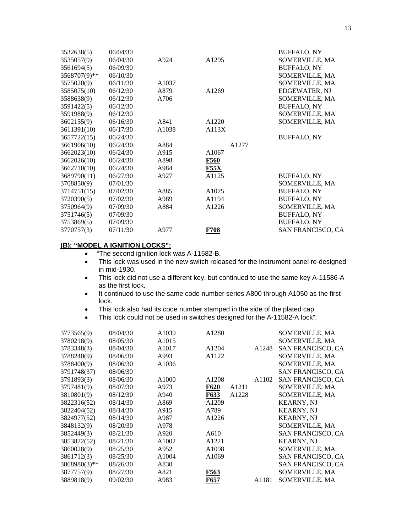| 3532638(5)   | 06/04/30 |       |             | <b>BUFFALO, NY</b> |
|--------------|----------|-------|-------------|--------------------|
| 3535057(9)   | 06/04/30 | A924  | A1295       | SOMERVILLE, MA     |
| 3561694(5)   | 06/09/30 |       |             | <b>BUFFALO, NY</b> |
| 3568707(9)** | 06/10/30 |       |             | SOMERVILLE, MA     |
| 3575020(9)   | 06/11/30 | A1037 |             | SOMERVILLE, MA     |
| 3585075(10)  | 06/12/30 | A879  | A1269       | EDGEWATER, NJ      |
| 3588638(9)   | 06/12/30 | A706  |             | SOMERVILLE, MA     |
| 3591422(5)   | 06/12/30 |       |             | <b>BUFFALO, NY</b> |
| 3591988(9)   | 06/12/30 |       |             | SOMERVILLE, MA     |
| 3602155(9)   | 06/16/30 | A841  | A1220       | SOMERVILLE, MA     |
| 3611391(10)  | 06/17/30 | A1038 | A113X       |                    |
| 3657722(15)  | 06/24/30 |       |             | <b>BUFFALO, NY</b> |
| 3661906(10)  | 06/24/30 | A884  | A1277       |                    |
| 3662023(10)  | 06/24/30 | A915  | A1067       |                    |
| 3662026(10)  | 06/24/30 | A898  | F560        |                    |
| 3662710(10)  | 06/24/30 | A984  | <b>F55X</b> |                    |
| 3689790(11)  | 06/27/30 | A927  | A1125       | <b>BUFFALO, NY</b> |
| 3708850(9)   | 07/01/30 |       |             | SOMERVILLE, MA     |
| 3714751(15)  | 07/02/30 | A885  | A1075       | <b>BUFFALO, NY</b> |
| 3720390(5)   | 07/02/30 | A989  | A1194       | <b>BUFFALO, NY</b> |
| 3750964(9)   | 07/09/30 | A884  | A1226       | SOMERVILLE, MA     |
| 3751746(5)   | 07/09/30 |       |             | <b>BUFFALO, NY</b> |
| 3753869(5)   | 07/09/30 |       |             | <b>BUFFALO, NY</b> |
| 3770757(3)   | 07/11/30 | A977  | <b>F708</b> | SAN FRANCISCO, CA  |

# **(B): "MODEL A IGNITION LOCKS":**

- "The second ignition lock was A-11582-B.
- This lock was used in the new switch released for the instrument panel re-designed in mid-1930.
- This lock did not use a different key, but continued to use the same key A-11586-A as the first lock.
- It continued to use the same code number series A800 through A1050 as the first lock.
- This lock also had its code number stamped in the side of the plated cap.
- This lock could not be used in switches designed for the A-11582-A lock".

| 3773565(9)   | 08/04/30 | A1039             | A1280             |                   | SOMERVILLE, MA           |
|--------------|----------|-------------------|-------------------|-------------------|--------------------------|
| 3780218(9)   | 08/05/30 | A1015             |                   |                   | SOMERVILLE, MA           |
| 3783348(3)   | 08/04/30 | A <sub>1017</sub> | A1204             | A <sub>1248</sub> | SAN FRANCISCO, CA        |
| 3788240(9)   | 08/06/30 | A993              | A1122             |                   | SOMERVILLE, MA           |
| 3788400(9)   | 08/06/30 | A <sub>1036</sub> |                   |                   | SOMERVILLE, MA           |
| 3791748(37)  | 08/06/30 |                   |                   |                   | <b>SAN FRANCISCO, CA</b> |
| 3791893(3)   | 08/06/30 | A1000             | A1208             | A1102             | SAN FRANCISCO, CA        |
| 3797481(9)   | 08/07/30 | A973              | <b>F620</b>       | A1211             | SOMERVILLE, MA           |
| 3810801(9)   | 08/12/30 | A940              | <b>F633</b>       | A1228             | SOMERVILLE, MA           |
| 3822316(52)  | 08/14/30 | A869              | A1209             |                   | <b>KEARNY, NJ</b>        |
| 3822404(52)  | 08/14/30 | A915              | A789              |                   | <b>KEARNY, NJ</b>        |
| 3824977(52)  | 08/14/30 | A987              | A <sub>1226</sub> |                   | <b>KEARNY, NJ</b>        |
| 3848132(9)   | 08/20/30 | A978              |                   |                   | SOMERVILLE, MA           |
| 3852449(3)   | 08/21/30 | A920              | A610              |                   | SAN FRANCISCO, CA        |
| 3853872(52)  | 08/21/30 | A1002             | A <sub>1221</sub> |                   | <b>KEARNY, NJ</b>        |
| 3860028(9)   | 08/25/30 | A952              | A1098             |                   | SOMERVILLE, MA           |
| 3861712(3)   | 08/25/30 | A1004             | A1069             |                   | SAN FRANCISCO, CA        |
| 3868980(3)** | 08/26/30 | A830              |                   |                   | SAN FRANCISCO, CA        |
| 3877757(9)   | 08/27/30 | A821              | <b>F563</b>       |                   | SOMERVILLE, MA           |
| 3889818(9)   | 09/02/30 | A983              | F657              | A1181             | SOMERVILLE, MA           |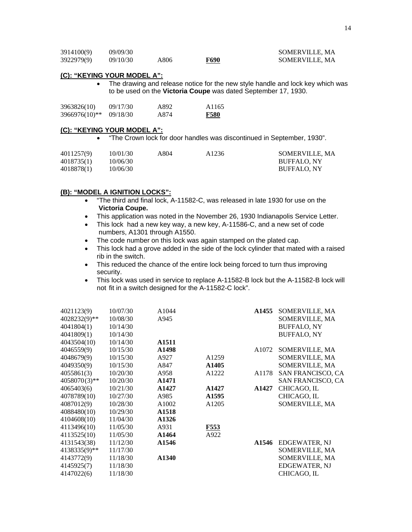| 3914100(9) | 09/09/30 |      |      | SOMERVILLE, MA |
|------------|----------|------|------|----------------|
| 3922979(9) | 09/10/30 | A806 | F690 | SOMERVILLE, MA |

### **(C): "KEYING YOUR MODEL A":**

• The drawing and release notice for the new style handle and lock key which was to be used on the **Victoria Coupe** was dated September 17, 1930.

| 3963826(10)   | 09/17/30 | A892 | A <sub>1165</sub> |
|---------------|----------|------|-------------------|
| 3966976(10)** | 09/18/30 | A874 | <b>F580</b>       |

#### **(C): "KEYING YOUR MODEL A":**

• "The Crown lock for door handles was discontinued in September, 1930".

| 4011257(9) | 10/01/30 | A804 | A <sub>1236</sub> | SOMERVILLE, MA     |
|------------|----------|------|-------------------|--------------------|
| 4018735(1) | 10/06/30 |      |                   | <b>BUFFALO, NY</b> |
| 4018878(1) | 10/06/30 |      |                   | <b>BUFFALO, NY</b> |

### **(B): "MODEL A IGNITION LOCKS":**

- "The third and final lock, A-11582-C, was released in late 1930 for use on the **Victoria Coupe.**
- This application was noted in the November 26, 1930 Indianapolis Service Letter.
- This lock had a new key way, a new key, A-11586-C, and a new set of code numbers, A1301 through A1550.
- The code number on this lock was again stamped on the plated cap.
- This lock had a grove added in the side of the lock cylinder that mated with a raised rib in the switch.
- This reduced the chance of the entire lock being forced to turn thus improving security.
- This lock was used in service to replace A-11582-B lock but the A-11582-B lock will not fit in a switch designed for the A-11582-C lock".

| 4021123(9)      | 10/07/30 | A1044             |       | A1455 | SOMERVILLE, MA       |
|-----------------|----------|-------------------|-------|-------|----------------------|
| 4028232(9)**    | 10/08/30 | A945              |       |       | SOMERVILLE, MA       |
| 4041804(1)      | 10/14/30 |                   |       |       | <b>BUFFALO, NY</b>   |
| 4041809(1)      | 10/14/30 |                   |       |       | <b>BUFFALO, NY</b>   |
| 4043504(10)     | 10/14/30 | A <sub>1511</sub> |       |       |                      |
| 4046559(9)      | 10/15/30 | A1498             |       | A1072 | SOMERVILLE, MA       |
| 4048679(9)      | 10/15/30 | A927              | A1259 |       | SOMERVILLE, MA       |
| 4049350(9)      | 10/15/30 | A847              | A1405 |       | SOMERVILLE, MA       |
| 4055861(3)      | 10/20/30 | A958              | A1222 | A1178 | SAN FRANCISCO, CA    |
| $4058070(3)$ ** | 10/20/30 | A1471             |       |       | SAN FRANCISCO, CA    |
| 4065403(6)      | 10/21/30 | A1427             | A1427 | A1427 | CHICAGO, IL          |
| 4078789(10)     | 10/27/30 | A985              | A1595 |       | CHICAGO, IL          |
| 4087012(9)      | 10/28/30 | A1002             | A1205 |       | SOMERVILLE, MA       |
| 4088480(10)     | 10/29/30 | A1518             |       |       |                      |
| 4104608(10)     | 11/04/30 | A1326             |       |       |                      |
| 4113496(10)     | 11/05/30 | A931              | F553  |       |                      |
| 4113525(10)     | 11/05/30 | A1464             | A922  |       |                      |
| 4131543(38)     | 11/12/30 | A1546             |       | A1546 | <b>EDGEWATER, NJ</b> |
| 4138335(9)**    | 11/17/30 |                   |       |       | SOMERVILLE, MA       |
| 4143772(9)      | 11/18/30 | A1340             |       |       | SOMERVILLE, MA       |
| 4145925(7)      | 11/18/30 |                   |       |       | <b>EDGEWATER, NJ</b> |
| 4147022(6)      | 11/18/30 |                   |       |       | CHICAGO, IL          |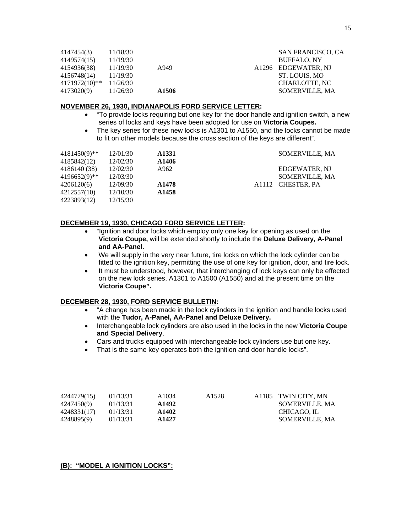| 4147454(3)    | 11/18/30 |                   | <b>SAN FRANCISCO, CA</b> |
|---------------|----------|-------------------|--------------------------|
| 4149574(15)   | 11/19/30 |                   | <b>BUFFALO, NY</b>       |
| 4154936(38)   | 11/19/30 | A949              | A1296 EDGEWATER, NJ      |
| 4156748(14)   | 11/19/30 |                   | ST. LOUIS, MO            |
| 4171972(10)** | 11/26/30 |                   | CHARLOTTE, NC            |
| 4173020(9)    | 11/26/30 | A <sub>1506</sub> | SOMERVILLE, MA           |

### **NOVEMBER 26, 1930, INDIANAPOLIS FORD SERVICE LETTER:**

- "To provide locks requiring but one key for the door handle and ignition switch, a new series of locks and keys have been adopted for use on **Victoria Coupes.**
- The key series for these new locks is A1301 to A1550, and the locks cannot be made to fit on other models because the cross section of the keys are different".

| $4181450(9)$ ** | 12/01/30 | A1331             | SOMERVILLE, MA       |
|-----------------|----------|-------------------|----------------------|
| 4185842(12)     | 12/02/30 | A1406             |                      |
| 4186140 (38)    | 12/02/30 | A962              | <b>EDGEWATER, NJ</b> |
| 4196652(9)**    | 12/03/30 |                   | SOMERVILLE, MA       |
| 4206120(6)      | 12/09/30 | A <sub>1478</sub> | A1112 CHESTER, PA    |
| 4212557(10)     | 12/10/30 | A <sub>1458</sub> |                      |
| 4223893(12)     | 12/15/30 |                   |                      |

# **DECEMBER 19, 1930, CHICAGO FORD SERVICE LETTER:**

- "Ignition and door locks which employ only one key for opening as used on the **Victoria Coupe,** will be extended shortly to include the **Deluxe Delivery, A-Panel and AA-Panel.**
- We will supply in the very near future, tire locks on which the lock cylinder can be fitted to the ignition key, permitting the use of one key for ignition, door, and tire lock.
- It must be understood, however, that interchanging of lock keys can only be effected on the new lock series, A1301 to A1500 (A1550) and at the present time on the **Victoria Coupe".**

### **DECEMBER 28, 1930, FORD SERVICE BULLETIN:**

- "A change has been made in the lock cylinders in the ignition and handle locks used with the **Tudor, A-Panel, AA-Panel and Deluxe Delivery.**
- Interchangeable lock cylinders are also used in the locks in the new **Victoria Coupe andSpecial Delivery**.
- Cars and trucks equipped with interchangeable lock cylinders use but one key.
- That is the same key operates both the ignition and door handle locks".

| 4244779(15) | 01/13/31 | A <sub>1034</sub> | A1528 | A1185 TWIN CITY, MN |
|-------------|----------|-------------------|-------|---------------------|
| 4247450(9)  | 01/13/31 | A1492             |       | SOMERVILLE, MA      |
| 4248331(17) | 01/13/31 | A <sub>1402</sub> |       | CHICAGO. IL         |
| 4248895(9)  | 01/13/31 | A <sub>1427</sub> |       | SOMERVILLE, MA      |

### **(B): "MODEL A IGNITION LOCKS":**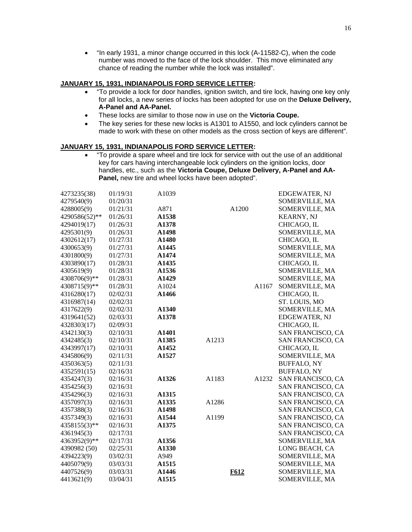• "In early 1931, a minor change occurred in this lock (A-11582-C), when the code number was moved to the face of the lock shoulder. This move eliminated any chance of reading the number while the lock was installed".

### **JANUARY 15, 1931, INDIANAPOLIS FORD SERVICE LETTER:**

- "To provide a lock for door handles, ignition switch, and tire lock, having one key only for all locks, a new series of locks has been adopted for use on the **Deluxe Delivery, A-Panel and AA-Panel.**
- These locks are similar to those now in use on the **Victoria Coupe.**
- The key series for these new locks is A1301 to A1550, and lock cylinders cannot be made to work with these on other models as the cross section of keys are different".

# **JANUARY 15, 1931, INDIANAPOLIS FORD SERVICE LETTER:**

• "To provide a spare wheel and tire lock for service with out the use of an additional key for cars having interchangeable lock cylinders on the ignition locks, door handles, etc., such as the **Victoria Coupe, Deluxe Delivery, A-Panel and AA-**  Panel, new tire and wheel locks have been adopted".

| 4273235(38)   | 01/19/31 | A1039             |       |       |       | <b>EDGEWATER, NJ</b>     |
|---------------|----------|-------------------|-------|-------|-------|--------------------------|
| 4279540(9)    | 01/20/31 |                   |       |       |       | SOMERVILLE, MA           |
| 4288005(9)    | 01/21/31 | A871              |       | A1200 |       | SOMERVILLE, MA           |
| 4290586(52)** | 01/26/31 | A1538             |       |       |       | <b>KEARNY, NJ</b>        |
| 4294019(17)   | 01/26/31 | A1378             |       |       |       | CHICAGO, IL              |
| 4295301(9)    | 01/26/31 | A1498             |       |       |       | SOMERVILLE, MA           |
| 4302612(17)   | 01/27/31 | A1480             |       |       |       | CHICAGO, IL              |
| 4300653(9)    | 01/27/31 | A1445             |       |       |       | SOMERVILLE, MA           |
| 4301800(9)    | 01/27/31 | A1474             |       |       |       | SOMERVILLE, MA           |
| 4303890(17)   | 01/28/31 | A1435             |       |       |       | CHICAGO, IL              |
| 4305619(9)    | 01/28/31 | A1536             |       |       |       | SOMERVILLE, MA           |
| 4308706(9)**  | 01/28/31 | A1429             |       |       |       | SOMERVILLE, MA           |
| 4308715(9)**  | 01/28/31 | A1024             |       |       | A1167 | SOMERVILLE, MA           |
| 4316280(17)   | 02/02/31 | A1466             |       |       |       | CHICAGO, IL              |
| 4316987(14)   | 02/02/31 |                   |       |       |       | ST. LOUIS, MO            |
| 4317622(9)    | 02/02/31 | A1340             |       |       |       | SOMERVILLE, MA           |
| 4319641(52)   | 02/03/31 | A1378             |       |       |       | <b>EDGEWATER, NJ</b>     |
| 4328303(17)   | 02/09/31 |                   |       |       |       | CHICAGO, IL              |
| 4342130(3)    | 02/10/31 | A1401             |       |       |       | SAN FRANCISCO, CA        |
| 4342485(3)    | 02/10/31 | A1385             | A1213 |       |       | SAN FRANCISCO, CA        |
| 4343997(17)   | 02/10/31 | A1452             |       |       |       | CHICAGO, IL              |
| 4345806(9)    | 02/11/31 | A1527             |       |       |       | SOMERVILLE, MA           |
| 4350363(5)    | 02/11/31 |                   |       |       |       | <b>BUFFALO, NY</b>       |
| 4352591(15)   | 02/16/31 |                   |       |       |       | <b>BUFFALO, NY</b>       |
| 4354247(3)    | 02/16/31 | A1326             | A1183 |       | A1232 | SAN FRANCISCO, CA        |
| 4354256(3)    | 02/16/31 |                   |       |       |       | SAN FRANCISCO, CA        |
| 4354296(3)    | 02/16/31 | A1315             |       |       |       | SAN FRANCISCO, CA        |
| 4357097(3)    | 02/16/31 | A1335             | A1286 |       |       | SAN FRANCISCO, CA        |
| 4357388(3)    | 02/16/31 | A1498             |       |       |       | SAN FRANCISCO, CA        |
| 4357349(3)    | 02/16/31 | A1544             | A1199 |       |       | SAN FRANCISCO, CA        |
| 4358155(3)**  | 02/16/31 | A1375             |       |       |       | SAN FRANCISCO, CA        |
| 4361945(3)    | 02/17/31 |                   |       |       |       | <b>SAN FRANCISCO, CA</b> |
| 4363952(9)**  | 02/17/31 | A1356             |       |       |       | SOMERVILLE, MA           |
| 4390982 (50)  | 02/25/31 | A1330             |       |       |       | LONG BEACH, CA           |
| 4394223(9)    | 03/02/31 | A949              |       |       |       | SOMERVILLE, MA           |
| 4405079(9)    | 03/03/31 | A <sub>1515</sub> |       |       |       | SOMERVILLE, MA           |
| 4407526(9)    | 03/03/31 | A1446             |       | F612  |       | SOMERVILLE, MA           |
| 4413621(9)    | 03/04/31 | A <sub>1515</sub> |       |       |       | SOMERVILLE, MA           |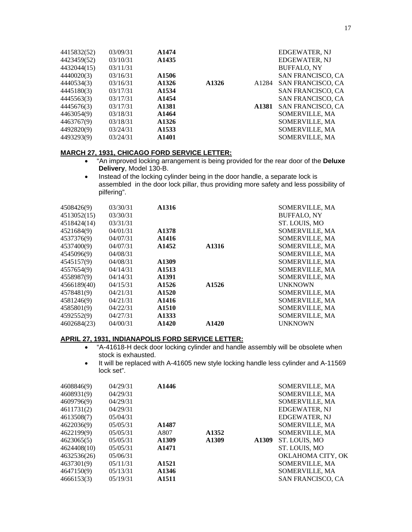| 4415832(52) | 03/09/31 | A1474             |       |       | EDGEWATER, NJ            |
|-------------|----------|-------------------|-------|-------|--------------------------|
| 4423459(52) | 03/10/31 | A <sub>1435</sub> |       |       | EDGEWATER, NJ            |
| 4432044(15) | 03/11/31 |                   |       |       | <b>BUFFALO, NY</b>       |
| 4440020(3)  | 03/16/31 | A <sub>1506</sub> |       |       | <b>SAN FRANCISCO, CA</b> |
| 4440534(3)  | 03/16/31 | A1326             | A1326 | A1284 | <b>SAN FRANCISCO, CA</b> |
| 4445180(3)  | 03/17/31 | A <sub>1534</sub> |       |       | SAN FRANCISCO, CA        |
| 4445563(3)  | 03/17/31 | A <sub>1454</sub> |       |       | SAN FRANCISCO, CA        |
| 4445676(3)  | 03/17/31 | A1381             |       | A1381 | SAN FRANCISCO, CA        |
| 4463054(9)  | 03/18/31 | A <sub>1464</sub> |       |       | SOMERVILLE, MA           |
| 4463767(9)  | 03/18/31 | A <sub>1326</sub> |       |       | SOMERVILLE, MA           |
| 4492820(9)  | 03/24/31 | A <sub>1533</sub> |       |       | SOMERVILLE, MA           |
| 4493293(9)  | 03/24/31 | A1401             |       |       | <b>SOMERVILLE, MA</b>    |

# **MARCH 27, 1931, CHICAGO FORD SERVICE LETTER:**

- "An improved locking arrangement is being provided for the rear door of the **Deluxe Delivery**, Model 130-B.
- Instead of the locking cylinder being in the door handle, a separate lock is assembled in the door lock pillar, thus providing more safety and less possibility of pilfering".

| 4508426(9)<br>4513052(15)<br>4518424(14)<br>4521684(9)<br>4537376(9)               | 03/30/31<br>03/30/31<br>03/31/31<br>04/01/31<br>04/07/31             | A1316<br>A1378<br>A1416                                                                |                                        | SOMERVILLE, MA<br><b>BUFFALO, NY</b><br>ST. LOUIS, MO<br>SOMERVILLE, MA<br><b>SOMERVILLE, MA</b>                |
|------------------------------------------------------------------------------------|----------------------------------------------------------------------|----------------------------------------------------------------------------------------|----------------------------------------|-----------------------------------------------------------------------------------------------------------------|
| 4537400(9)<br>4545096(9)<br>4545157(9)<br>4557654(9)<br>4558987(9)                 | 04/07/31<br>04/08/31<br>04/08/31<br>04/14/31<br>04/14/31             | A <sub>1452</sub><br>A1309<br>A <sub>1513</sub><br>A1391                               | A <sub>1316</sub>                      | SOMERVILLE, MA<br>SOMERVILLE, MA<br>SOMERVILLE, MA<br><b>SOMERVILLE, MA</b><br>SOMERVILLE, MA                   |
| 4566189(40)<br>4578481(9)<br>4581246(9)<br>4585801(9)<br>4592552(9)<br>4602684(23) | 04/15/31<br>04/21/31<br>04/21/31<br>04/22/31<br>04/27/31<br>04/00/31 | A1526<br>A <sub>1520</sub><br>A1416<br>A <sub>1510</sub><br>A1333<br>A <sub>1420</sub> | A <sub>1526</sub><br>A <sub>1420</sub> | <b>UNKNOWN</b><br><b>SOMERVILLE, MA</b><br>SOMERVILLE, MA<br>SOMERVILLE, MA<br>SOMERVILLE, MA<br><b>UNKNOWN</b> |

### **APRIL 27, 1931, INDIANAPOLIS FORD SERVICE LETTER:**

- "A-41618-H deck door locking cylinder and handle assembly will be obsolete when stock is exhausted.
- It will be replaced with A-41605 new style locking handle less cylinder and A-11569 lock set".

| 4608846(9)  | 04/29/31 | A1446             |                   |       | SOMERVILLE, MA    |
|-------------|----------|-------------------|-------------------|-------|-------------------|
| 4608931(9)  | 04/29/31 |                   |                   |       | SOMERVILLE, MA    |
| 4609796(9)  | 04/29/31 |                   |                   |       | SOMERVILLE, MA    |
| 4611731(2)  | 04/29/31 |                   |                   |       | EDGEWATER, NJ     |
| 4613508(7)  | 05/04/31 |                   |                   |       | EDGEWATER, NJ     |
| 4622036(9)  | 05/05/31 | A1487             |                   |       | SOMERVILLE, MA    |
| 4622199(9)  | 05/05/31 | A807              | A <sub>1352</sub> |       | SOMERVILLE, MA    |
| 4623065(5)  | 05/05/31 | A <sub>1309</sub> | A1309             | A1309 | ST. LOUIS, MO     |
| 4624408(10) | 05/05/31 | A <sub>1471</sub> |                   |       | ST. LOUIS, MO     |
| 4632536(26) | 05/06/31 |                   |                   |       | OKLAHOMA CITY, OK |
| 4637301(9)  | 05/11/31 | A <sub>1521</sub> |                   |       | SOMERVILLE, MA    |
| 4647150(9)  | 05/13/31 | A <sub>1346</sub> |                   |       | SOMERVILLE, MA    |
| 4666153(3)  | 05/19/31 | A <sub>1511</sub> |                   |       | SAN FRANCISCO, CA |
|             |          |                   |                   |       |                   |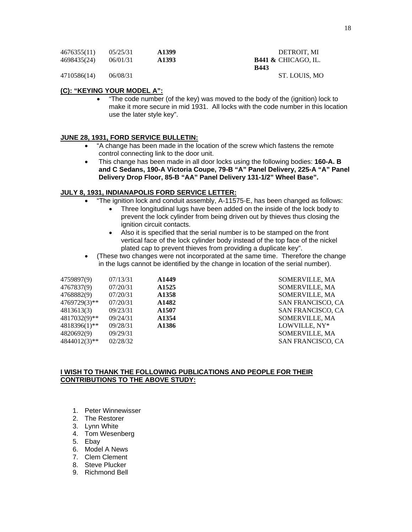| 4676355(11) | 05/25/31 | A1399             | DETROIT. MI                    |
|-------------|----------|-------------------|--------------------------------|
| 4698435(24) | 06/01/31 | A <sub>1393</sub> | <b>B441 &amp; CHICAGO. IL.</b> |
|             |          |                   | <b>B443</b>                    |
| 4710586(14) | 06/08/31 |                   | ST. LOUIS. MO                  |

# **(C): "KEYING YOUR MODEL A":**

• "The code number (of the key) was moved to the body of the (ignition) lock to make it more secure in mid 1931. All locks with the code number in this location use the later style key".

# **JUNE 28, 1931, FORD SERVICE BULLETIN:**

- "A change has been made in the location of the screw which fastens the remote control connecting link to the door unit.
- This change has been made in all door locks using the following bodies: **160-A. B and C Sedans, 190-A Victoria Coupe, 79-B "A" Panel Delivery, 225-A "A" Panel Delivery Drop Floor, 85-B "AA" Panel Delivery 131-1/2" Wheel Base".**

# **JULY 8, 1931, INDIANAPOLIS FORD SERVICE LETTER:**

- "The ignition lock and conduit assembly, A-11575-E, has been changed as follows:
	- Three longitudinal lugs have been added on the inside of the lock body to prevent the lock cylinder from being driven out by thieves thus closing the ignition circuit contacts.
	- Also it is specified that the serial number is to be stamped on the front vertical face of the lock cylinder body instead of the top face of the nickel plated cap to prevent thieves from providing a duplicate key".
- (These two changes were not incorporated at the same time. Therefore the change in the lugs cannot be identified by the change in location of the serial number).

| 4759897(9)   | 07/13/31 | A <sub>1449</sub> |
|--------------|----------|-------------------|
| 4767837(9)   | 07/20/31 | A <sub>1525</sub> |
| 4768882(9)   | 07/20/31 | A <sub>1358</sub> |
| 4769729(3)** | 07/20/31 | A1482             |
| 4813613(3)   | 09/23/31 | A <sub>1507</sub> |
| 4817032(9)** | 09/24/31 | A <sub>1354</sub> |
| 4818396(1)** | 09/28/31 | A1386             |
| 4820692(9)   | 09/29/31 |                   |
| 4844012(3)** | 02/28/32 |                   |

4759897(9) 07/13/31 **A1449** SOMERVILLE, MA 4767837(9) 07/20/31 **A1525** SOMERVILLE, MA 4768882(9) 07/20/31 **A1358** SOMERVILLE, MA 4769729(3)\*\* 07/20/31 **A1482** SAN FRANCISCO, CA 4813613(3) 09/23/31 **A1507** SAN FRANCISCO, CA 4817032(9)\*\* 09/24/31 **A1354** SOMERVILLE, MA 4818396(1)\*\* 09/28/31 **A1386** LOWVILLE, NY\* 4820692(9) 09/29/31 SOMERVILLE, MA SAN FRANCISCO, CA

# **I WISH TO THANK THE FOLLOWING PUBLICATIONS AND PEOPLE FOR THEIR CONTRIBUTIONS TO THE ABOVE STUDY:**

- 1. Peter Winnewisser
- 2. The Restorer
- 3. Lynn White
- 4. Tom Wesenberg
- 5. Ebay
- 6. Model A News
- 7. Clem Clement
- 8. Steve Plucker
- 9. Richmond Bell